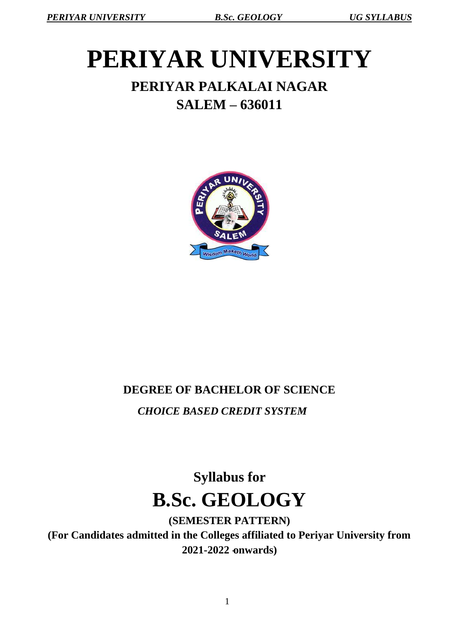# **PERIYAR UNIVERSITY PERIYAR PALKALAI NAGAR SALEM – 636011**

# Wisdom Maketh Wo

## **DEGREE OF BACHELOR OF SCIENCE**

*CHOICE BASED CREDIT SYSTEM*

# **Syllabus for B.Sc. GEOLOGY**

**(SEMESTER PATTERN) (For Candidates admitted in the Colleges affiliated to Periyar University from 2021-2022 -onwards)**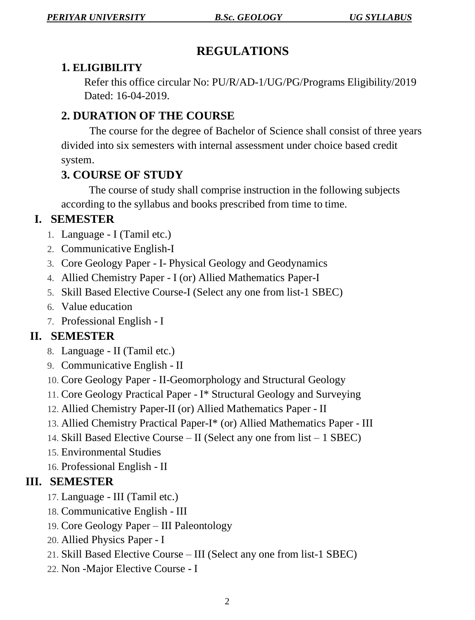## **REGULATIONS**

#### **1. ELIGIBILITY**

Refer this office circular No: PU/R/AD-1/UG/PG/Programs Eligibility/2019 Dated: 16-04-2019.

## **2. DURATION OF THE COURSE**

The course for the degree of Bachelor of Science shall consist of three years divided into six semesters with internal assessment under choice based credit system.

## **3. COURSE OF STUDY**

The course of study shall comprise instruction in the following subjects according to the syllabus and books prescribed from time to time.

## **I. SEMESTER**

- 1. Language I (Tamil etc.)
- 2. Communicative English-I
- 3. Core Geology Paper I- Physical Geology and Geodynamics
- 4. Allied Chemistry Paper I (or) Allied Mathematics Paper-I
- 5. Skill Based Elective Course-I (Select any one from list-1 SBEC)
- 6. Value education
- 7. Professional English I

## **II. SEMESTER**

- 8. Language II (Tamil etc.)
- 9. Communicative English II
- 10. Core Geology Paper II-Geomorphology and Structural Geology
- 11. Core Geology Practical Paper I\* Structural Geology and Surveying
- 12. Allied Chemistry Paper-II (or) Allied Mathematics Paper II
- 13. Allied Chemistry Practical Paper-I\* (or) Allied Mathematics Paper III
- 14. Skill Based Elective Course II (Select any one from list 1 SBEC)
- 15. Environmental Studies
- 16. Professional English II

## **III. SEMESTER**

- 17. Language III (Tamil etc.)
- 18. Communicative English III
- 19. Core Geology Paper III Paleontology
- 20. Allied Physics Paper I
- 21. Skill Based Elective Course III (Select any one from list-1 SBEC)
- 22. Non -Major Elective Course I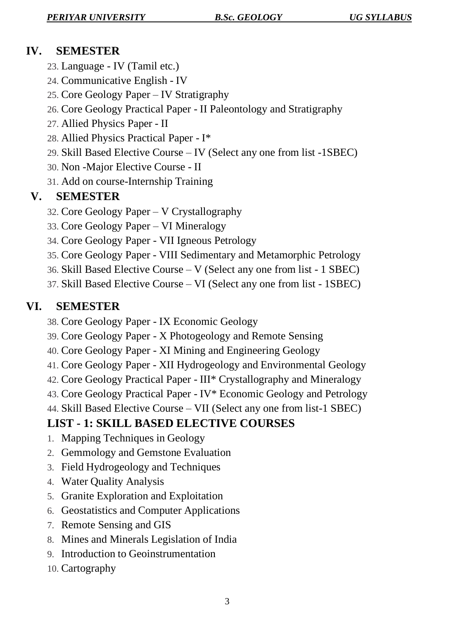## **IV. SEMESTER**

- 23. Language IV (Tamil etc.)
- 24. Communicative English IV
- 25. Core Geology Paper IV Stratigraphy
- 26. Core Geology Practical Paper II Paleontology and Stratigraphy
- 27. Allied Physics Paper II
- 28. Allied Physics Practical Paper I\*
- 29. Skill Based Elective Course IV (Select any one from list -1SBEC)
- 30. Non -Major Elective Course II
- 31. Add on course-Internship Training

## **V. SEMESTER**

- 32. Core Geology Paper V Crystallography
- 33. Core Geology Paper VI Mineralogy
- 34. Core Geology Paper VII Igneous Petrology
- 35. Core Geology Paper VIII Sedimentary and Metamorphic Petrology
- 36. Skill Based Elective Course V (Select any one from list 1 SBEC)
- 37. Skill Based Elective Course VI (Select any one from list 1SBEC)

## **VI. SEMESTER**

- 38. Core Geology Paper IX Economic Geology
- 39. Core Geology Paper X Photogeology and Remote Sensing
- 40. Core Geology Paper XI Mining and Engineering Geology
- 41. Core Geology Paper XII Hydrogeology and Environmental Geology
- 42. Core Geology Practical Paper III\* Crystallography and Mineralogy
- 43. Core Geology Practical Paper IV\* Economic Geology and Petrology
- 44. Skill Based Elective Course VII (Select any one from list-1 SBEC)

## **LIST - 1: SKILL BASED ELECTIVE COURSES**

- 1. Mapping Techniques in Geology
- 2. Gemmology and Gemstone Evaluation
- 3. Field Hydrogeology and Techniques
- 4. Water Quality Analysis
- 5. Granite Exploration and Exploitation
- 6. Geostatistics and Computer Applications
- 7. Remote Sensing and GIS
- 8. Mines and Minerals Legislation of India
- 9. Introduction to Geoinstrumentation
- 10. Cartography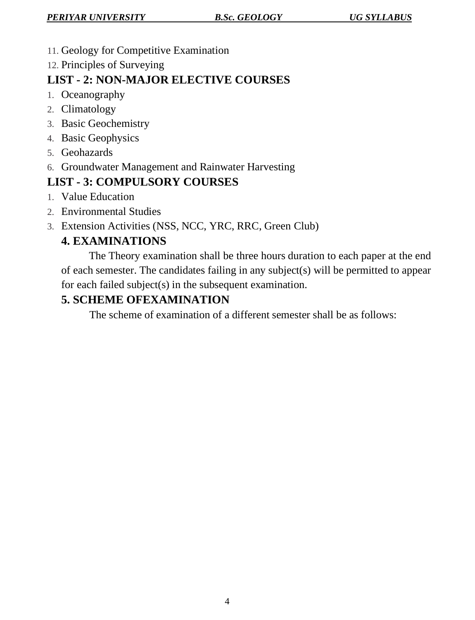- 11. Geology for Competitive Examination
- 12. Principles of Surveying

## **LIST - 2: NON-MAJOR ELECTIVE COURSES**

- 1. Oceanography
- 2. Climatology
- 3. Basic Geochemistry
- 4. Basic Geophysics
- 5. Geohazards
- 6. Groundwater Management and Rainwater Harvesting

## **LIST - 3: COMPULSORY COURSES**

- 1. Value Education
- 2. Environmental Studies
- 3. Extension Activities (NSS, NCC, YRC, RRC, Green Club)

## **4. EXAMINATIONS**

The Theory examination shall be three hours duration to each paper at the end of each semester. The candidates failing in any subject(s) will be permitted to appear for each failed subject(s) in the subsequent examination.

## **5. SCHEME OFEXAMINATION**

The scheme of examination of a different semester shall be as follows: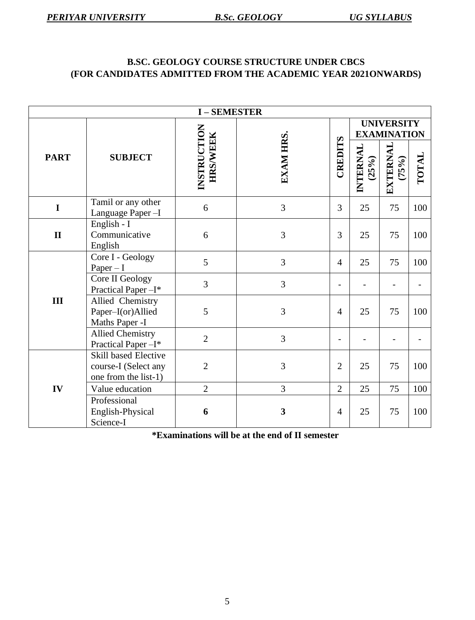#### **B.SC. GEOLOGY COURSE STRUCTURE UNDER CBCS (FOR CANDIDATES ADMITTED FROM THE ACADEMIC YEAR 2021ONWARDS)**

| <b>I-SEMESTER</b> |                                                                             |                                |           |                |                                         |                          |       |
|-------------------|-----------------------------------------------------------------------------|--------------------------------|-----------|----------------|-----------------------------------------|--------------------------|-------|
|                   |                                                                             |                                |           |                | <b>UNIVERSITY</b><br><b>EXAMINATION</b> |                          |       |
| <b>PART</b>       | <b>SUBJECT</b>                                                              | INSTRUCTION<br><b>HRS/WEEK</b> | EXAM HRS. | CREDITS        | INTERNAL<br>(25%)                       | <b>EXTERNAL</b><br>(75%) | TOTAL |
| $\mathbf I$       | Tamil or any other<br>Language Paper-I                                      | 6                              | 3         | 3              | 25                                      | 75                       | 100   |
| $\mathbf{I}$      | English - I<br>Communicative<br>English                                     | 6                              | 3         | 3              | 25                                      | 75                       | 100   |
|                   | Core I - Geology<br>$Paper - I$                                             | 5                              | 3         | $\overline{4}$ | 25                                      | 75                       | 100   |
|                   | Core II Geology<br>Practical Paper-I*                                       | 3                              | 3         | $\overline{a}$ |                                         |                          |       |
| III               | Allied Chemistry<br>Paper-I(or)Allied<br>Maths Paper -I                     | 5                              | 3         | $\overline{4}$ | 25                                      | 75                       | 100   |
|                   | <b>Allied Chemistry</b><br>$\overline{2}$<br>Practical Paper-I*             |                                | 3         |                |                                         |                          |       |
|                   | <b>Skill based Elective</b><br>course-I (Select any<br>one from the list-1) | $\overline{2}$                 | 3         | $\overline{2}$ | 25                                      | 75                       | 100   |
| IV                | Value education                                                             | $\overline{2}$                 | 3         | $\overline{2}$ | 25                                      | 75                       | 100   |
|                   | Professional<br>English-Physical<br>Science-I                               | 6                              | 3         | $\overline{4}$ | 25                                      | 75                       | 100   |

**\*Examinations will be at the end of II semester**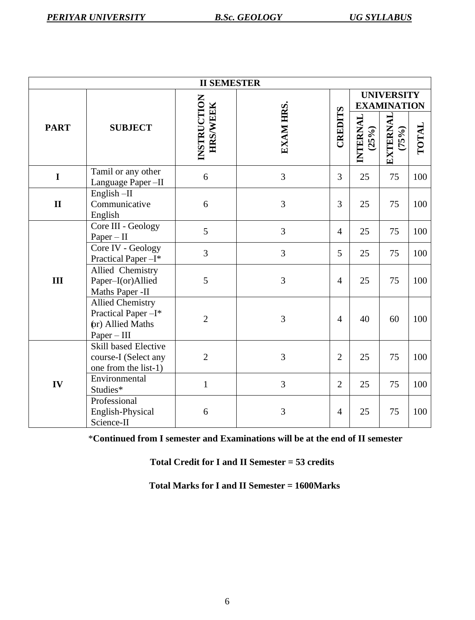| <b>II SEMESTER</b> |                                                                                     |                                |                |                |                                         |                          |       |
|--------------------|-------------------------------------------------------------------------------------|--------------------------------|----------------|----------------|-----------------------------------------|--------------------------|-------|
|                    |                                                                                     |                                |                |                | <b>UNIVERSITY</b><br><b>EXAMINATION</b> |                          |       |
| <b>PART</b>        | <b>SUBJECT</b>                                                                      | INSTRUCTION<br><b>HRS/WEEK</b> | EXAM HRS.      | CREDITS        | INTERNAL<br>(25%)                       | <b>EXTERNAL</b><br>(75%) | TOTAL |
| $\mathbf I$        | Tamil or any other<br>Language Paper-II                                             | 6                              | 3              | 3              | 25                                      | 75                       | 100   |
| $\mathbf{I}$       | English-II<br>Communicative<br>English                                              | 6                              | 3              | 3              | 25                                      | 75                       | 100   |
|                    | Core III - Geology<br>$Paper - II$                                                  | 5                              | $\overline{3}$ | $\overline{4}$ | 25                                      | 75                       | 100   |
|                    | Core IV - Geology<br>Practical Paper-I*                                             | 3                              | 3              | 5              | 25                                      | 75                       | 100   |
| III                | Allied Chemistry<br>Paper-I(or)Allied<br>Maths Paper -II                            | 5                              | 3              | $\overline{4}$ | 25                                      | 75                       | 100   |
|                    | <b>Allied Chemistry</b><br>Practical Paper-I*<br>(or) Allied Maths<br>$Paper - III$ | $\overline{2}$                 | 3              | $\overline{4}$ | 40                                      | 60                       | 100   |
|                    | <b>Skill based Elective</b><br>course-I (Select any<br>one from the list-1)         | $\overline{2}$                 | 3              | $\overline{2}$ | 25                                      | 75                       | 100   |
| IV                 | Environmental<br>Studies*                                                           | $\mathbf{1}$                   | 3              | $\overline{2}$ | 25                                      | 75                       | 100   |
|                    | Professional<br>English-Physical<br>Science-II                                      | 6                              | $\overline{3}$ | $\overline{4}$ | 25                                      | 75                       | 100   |

\***Continued from I semester and Examinations will be at the end of II semester**

 **Total Credit for I and II Semester = 53 credits**

 **Total Marks for I and II Semester = 1600Marks**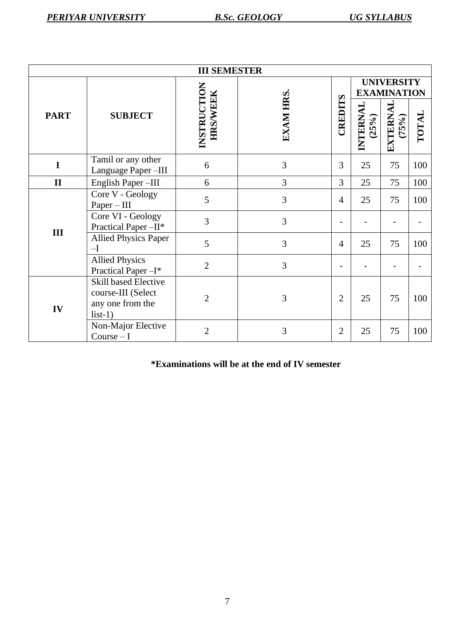| <b>III SEMESTER</b> |                                                                             |                                |           |                          |                                         |                   |       |
|---------------------|-----------------------------------------------------------------------------|--------------------------------|-----------|--------------------------|-----------------------------------------|-------------------|-------|
|                     | <b>SUBJECT</b>                                                              |                                |           |                          | <b>UNIVERSITY</b><br><b>EXAMINATION</b> |                   |       |
| <b>PART</b>         |                                                                             | INSTRUCTION<br><b>HRS/WEEK</b> | EXAM HRS. | CREDITS                  | INTERNAL<br>(25%)                       | EXTERNAL<br>(75%) | TOTAL |
| $\mathbf I$         | Tamil or any other<br>Language Paper-III                                    | 6                              | 3         | 3                        | 25                                      | 75                | 100   |
| $\mathbf{I}$        | English Paper-III                                                           | 6                              | 3         | $\overline{3}$           | 25                                      | 75                | 100   |
|                     | Core V - Geology<br>$Paper - III$                                           | 5                              | 3         | $\overline{4}$           | 25                                      | 75                | 100   |
| III                 | Core VI - Geology<br>Practical Paper-II*                                    | 3<br>5<br>$\overline{2}$       | 3         | $\overline{\phantom{0}}$ |                                         |                   |       |
|                     | <b>Allied Physics Paper</b><br>$-I$                                         |                                | 3         | $\overline{4}$           | 25                                      | 75                | 100   |
|                     | <b>Allied Physics</b><br>Practical Paper-I*                                 |                                | 3         |                          |                                         |                   |       |
| IV                  | Skill based Elective<br>course-III (Select<br>any one from the<br>$list-1)$ | $\overline{2}$                 | 3         | $\overline{2}$           | 25                                      | 75                | 100   |
|                     | Non-Major Elective<br>$Course-I$                                            | $\overline{2}$                 | 3         | $\overline{2}$           | 25                                      | 75                | 100   |

**\*Examinations will be at the end of IV semester**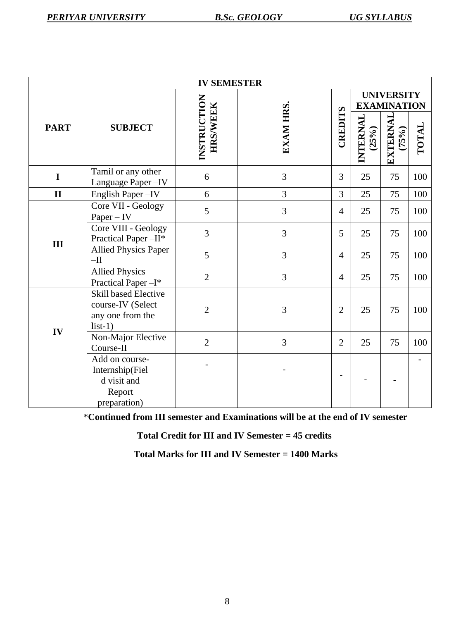| <b>IV SEMESTER</b> |                                                                                   |                                |           |                |                                         |                      |       |
|--------------------|-----------------------------------------------------------------------------------|--------------------------------|-----------|----------------|-----------------------------------------|----------------------|-------|
|                    |                                                                                   |                                |           |                | <b>UNIVERSITY</b><br><b>EXAMINATION</b> |                      |       |
| <b>PART</b>        | <b>SUBJECT</b>                                                                    | INSTRUCTION<br><b>HRS/WEEK</b> | EXAM HRS. | CREDITS        | INTERNAL<br>(25%)                       | EXTERNAL<br>$(75\%)$ | TOTAL |
| $\mathbf I$        | Tamil or any other<br>Language Paper-IV                                           | 6                              | 3         | 3              | 25                                      | 75                   | 100   |
| $\mathbf{I}$       | English Paper-IV                                                                  | 6                              | 3         | 3              | 25                                      | 75                   | 100   |
|                    | Core VII - Geology<br>$Paper - IV$                                                | 5                              | 3         | $\overline{4}$ | 25                                      | 75                   | 100   |
| III                | Core VIII - Geology<br>Practical Paper-II*                                        | 3                              | 3         | 5              | 25                                      | 75                   | 100   |
|                    | <b>Allied Physics Paper</b><br>$-II$                                              | 5                              | 3         | $\overline{4}$ | 25                                      | 75                   | 100   |
|                    | <b>Allied Physics</b><br>Practical Paper-I*                                       | $\overline{2}$                 | 3         | $\overline{4}$ | 25                                      | 75                   | 100   |
| IV                 | <b>Skill based Elective</b><br>course-IV (Select<br>any one from the<br>$list-1)$ | $\overline{2}$                 | 3         | $\overline{2}$ | 25                                      | 75                   | 100   |
|                    | Non-Major Elective<br>Course-II                                                   | $\overline{2}$                 | 3         | $\overline{2}$ | 25                                      | 75                   | 100   |
|                    | Add on course-<br>Internship(Fiel<br>d visit and<br>Report                        |                                |           |                |                                         |                      |       |
|                    | preparation)                                                                      |                                |           |                |                                         |                      |       |

\***Continued from III semester and Examinations will be at the end of IV semester** 

**Total Credit for III and IV Semester = 45 credits**

 **Total Marks for III and IV Semester = 1400 Marks**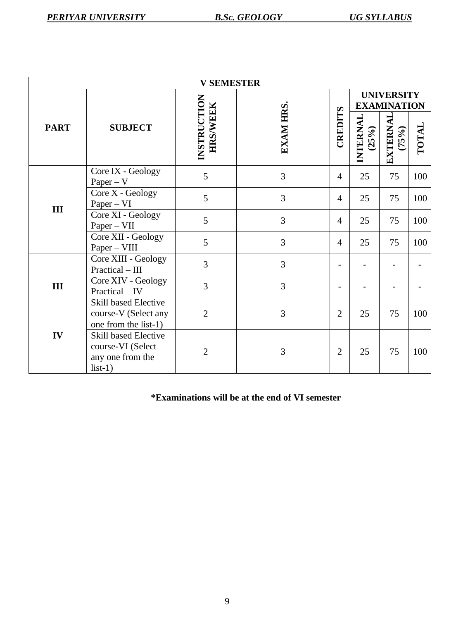| <b>V SEMESTER</b> |                                                                                   |                                |                |                |                                         |                             |       |
|-------------------|-----------------------------------------------------------------------------------|--------------------------------|----------------|----------------|-----------------------------------------|-----------------------------|-------|
|                   |                                                                                   |                                |                |                | <b>UNIVERSITY</b><br><b>EXAMINATION</b> |                             |       |
| <b>PART</b>       | <b>SUBJECT</b>                                                                    | INSTRUCTION<br><b>HRS/WEEK</b> | EXAM HRS.      | CREDITS        | INTERNAL<br>(25%)                       | <b>EXTERNAL</b><br>$(75\%)$ | TOTAL |
|                   | Core IX - Geology<br>$Paper - V$                                                  | 5                              | 3              | $\overline{4}$ | 25                                      | 75                          | 100   |
| III               | Core X - Geology<br>$Paper - VI$                                                  | 5                              | 3              | $\overline{4}$ | 25                                      | 75                          | 100   |
|                   | Core XI - Geology<br>$Paper - VII$                                                | 5                              | 3              | $\overline{4}$ | 25                                      | 75                          | 100   |
|                   | Core XII - Geology<br>Paper - VIII                                                | 5                              | 3              | $\overline{4}$ | 25                                      | 75                          | 100   |
|                   | Core XIII - Geology<br>Practical - III                                            | $\overline{3}$                 | 3              |                |                                         |                             |       |
| III               | Core XIV - Geology<br>Practical - IV                                              | 3                              | $\overline{3}$ |                |                                         |                             |       |
|                   | <b>Skill based Elective</b><br>course-V (Select any<br>one from the list-1)       | $\overline{2}$                 | 3              | $\overline{2}$ | 25                                      | 75                          | 100   |
| IV                | <b>Skill based Elective</b><br>course-VI (Select<br>any one from the<br>$list-1)$ | $\overline{2}$                 | 3              | $\overline{2}$ | 25                                      | 75                          | 100   |

**\*Examinations will be at the end of VI semester**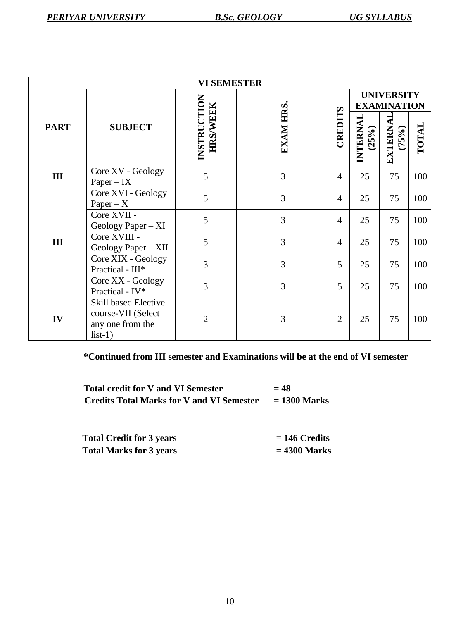| <b>VI SEMESTER</b> |                                                                                    |                                |                 |                |                                         |                          |       |
|--------------------|------------------------------------------------------------------------------------|--------------------------------|-----------------|----------------|-----------------------------------------|--------------------------|-------|
|                    |                                                                                    |                                |                 |                | <b>UNIVERSITY</b><br><b>EXAMINATION</b> |                          |       |
| <b>PART</b>        | <b>SUBJECT</b>                                                                     | INSTRUCTION<br><b>HRS/WEEK</b> | <b>EXAM HRS</b> | CREDITS        | INTERNAL<br>(25%)                       | <b>EXTERNAL</b><br>(75%) | TOTAL |
| III                | Core XV - Geology<br>$Paper - IX$                                                  | 5                              | 3               | $\overline{4}$ | 25                                      | 75                       | 100   |
|                    | Core XVI - Geology<br>$Paper - X$                                                  | 5                              | 3               | $\overline{4}$ | 25                                      | 75                       | 100   |
|                    | Core XVII -<br>Geology Paper $- XI$                                                | 5                              | 3               | $\overline{4}$ | 25                                      | 75                       | 100   |
| III                | Core XVIII -<br>Geology Paper - XII                                                | 5<br>3                         | 3               | $\overline{4}$ | 25                                      | 75                       | 100   |
|                    | Core XIX - Geology<br>Practical - III*                                             |                                | 3               | 5              | 25                                      | 75                       | 100   |
|                    | Core XX - Geology<br>Practical - IV*                                               | 3                              | 3               | 5              | 25                                      | 75                       | 100   |
| IV                 | <b>Skill based Elective</b><br>course-VII (Select<br>any one from the<br>$list-1)$ | $\overline{2}$                 | 3               | $\overline{2}$ | 25                                      | 75                       | 100   |

**\*Continued from III semester and Examinations will be at the end of VI semester**

| <b>Total credit for V and VI Semester</b>        | $= 48$         |
|--------------------------------------------------|----------------|
| <b>Credits Total Marks for V and VI Semester</b> | $= 1300$ Marks |

| <b>Total Credit for 3 years</b> | $= 146$ Credits |
|---------------------------------|-----------------|
| <b>Total Marks for 3 years</b>  | $= 4300$ Marks  |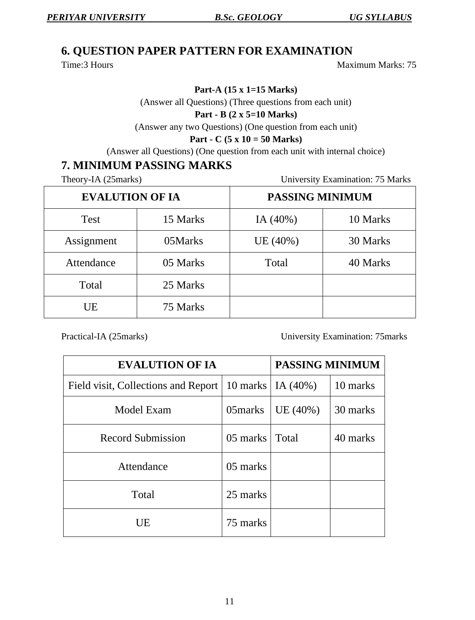#### **6. QUESTION PAPER PATTERN FOR EXAMINATION**

Time:3 Hours Maximum Marks: 75

**Part-A (15 x 1=15 Marks)**

(Answer all Questions) (Three questions from each unit)

#### **Part - B (2 x 5=10 Marks)**

(Answer any two Questions) (One question from each unit)

#### **Part - C (5 x 10 = 50 Marks)**

(Answer all Questions) (One question from each unit with internal choice)

#### **7. MINIMUM PASSING MARKS**

Theory-IA (25marks) University Examination: 75 Marks

| <b>EVALUTION OF IA</b> |          | PASSING MINIMUM |          |  |
|------------------------|----------|-----------------|----------|--|
| <b>Test</b>            | 15 Marks | IA $(40\%)$     | 10 Marks |  |
| Assignment             | 05Marks  | UE (40%)        | 30 Marks |  |
| Attendance             | 05 Marks | Total           | 40 Marks |  |
| Total                  | 25 Marks |                 |          |  |
| UE                     | 75 Marks |                 |          |  |

Practical-IA (25marks) University Examination: 75marks

| <b>EVALUTION OF IA</b>                                    | PASSING MINIMUM |         |          |
|-----------------------------------------------------------|-----------------|---------|----------|
| Field visit, Collections and Report   10 marks   IA (40%) |                 |         | 10 marks |
| Model Exam                                                | 05marks         | UE(40%) | 30 marks |
| <b>Record Submission</b>                                  | 05 marks        | Total   | 40 marks |
| Attendance                                                | 05 marks        |         |          |
| Total                                                     | 25 marks        |         |          |
| UE                                                        | 75 marks        |         |          |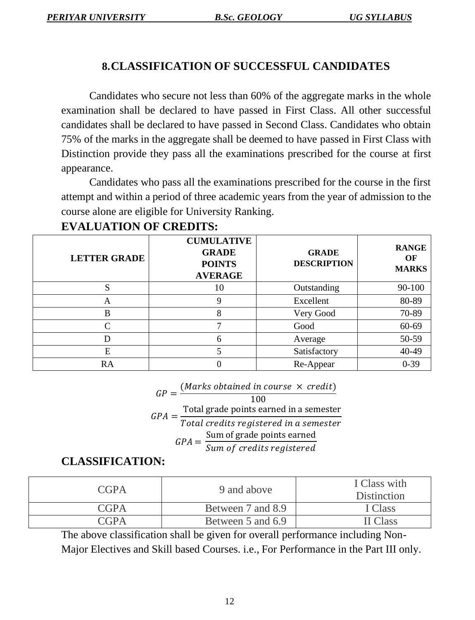#### **8.CLASSIFICATION OF SUCCESSFUL CANDIDATES**

Candidates who secure not less than 60% of the aggregate marks in the whole examination shall be declared to have passed in First Class. All other successful candidates shall be declared to have passed in Second Class. Candidates who obtain 75% of the marks in the aggregate shall be deemed to have passed in First Class with Distinction provide they pass all the examinations prescribed for the course at first appearance.

Candidates who pass all the examinations prescribed for the course in the first attempt and within a period of three academic years from the year of admission to the course alone are eligible for University Ranking.

| <b>LETTER GRADE</b> | <b>CUMULATIVE</b><br><b>GRADE</b><br><b>POINTS</b><br><b>AVERAGE</b> | <b>GRADE</b><br><b>DESCRIPTION</b> | <b>RANGE</b><br>OF<br><b>MARKS</b> |
|---------------------|----------------------------------------------------------------------|------------------------------------|------------------------------------|
| S                   | 10                                                                   | Outstanding                        | 90-100                             |
| A                   | Q                                                                    | Excellent                          | 80-89                              |
| B                   | 8                                                                    | Very Good                          | 70-89                              |
|                     |                                                                      | Good                               | 60-69                              |
|                     | 6                                                                    | Average                            | 50-59                              |
| E                   |                                                                      | Satisfactory                       | 40-49                              |
| RA                  |                                                                      | Re-Appear                          | $0 - 39$                           |

#### **EVALUATION OF CREDITS:**

 $GP =$ (Marks obtained in course  $\times$  credit)

$$
GPA = \frac{\text{Total grade points earned in a semester}}{\text{Total credits registered in a semester}}
$$
\n
$$
GPA = \frac{\text{Sum of grade points earned}}{\text{Sum of credits registered}}
$$

#### **CLASSIFICATION:**

| <b>CGPA</b> | 9 and above       | I Class with<br><b>Distinction</b> |
|-------------|-------------------|------------------------------------|
| CGPA        | Between 7 and 8.9 | [Class]                            |
| CGPA        | Between 5 and 6.9 | I Class                            |

The above classification shall be given for overall performance including Non-Major Electives and Skill based Courses. i.e., For Performance in the Part III only.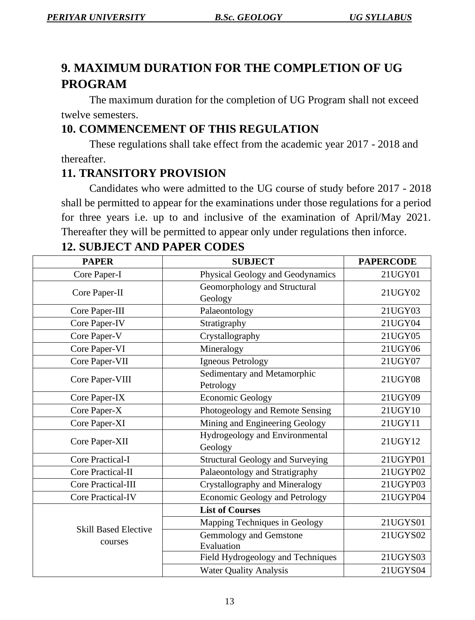## **9. MAXIMUM DURATION FOR THE COMPLETION OF UG PROGRAM**

The maximum duration for the completion of UG Program shall not exceed twelve semesters.

## **10. COMMENCEMENT OF THIS REGULATION**

These regulations shall take effect from the academic year 2017 - 2018 and thereafter.

## **11. TRANSITORY PROVISION**

Candidates who were admitted to the UG course of study before 2017 - 2018 shall be permitted to appear for the examinations under those regulations for a period for three years i.e. up to and inclusive of the examination of April/May 2021. Thereafter they will be permitted to appear only under regulations then inforce.

| <b>PAPER</b>                                             | <b>SUBJECT</b>                            | <b>PAPERCODE</b> |
|----------------------------------------------------------|-------------------------------------------|------------------|
| Core Paper-I                                             | Physical Geology and Geodynamics          | 21UGY01          |
| Geomorphology and Structural<br>Core Paper-II<br>Geology |                                           | 21UGY02          |
| Core Paper-III                                           | Palaeontology                             | 21UGY03          |
| Core Paper-IV                                            | Stratigraphy                              | 21UGY04          |
| Core Paper-V                                             | Crystallography                           | 21UGY05          |
| Core Paper-VI                                            | Mineralogy                                | 21UGY06          |
| Core Paper-VII                                           | Igneous Petrology                         | 21UGY07          |
| Core Paper-VIII                                          | Sedimentary and Metamorphic<br>Petrology  | 21UGY08          |
| Core Paper-IX                                            | <b>Economic Geology</b>                   | 21UGY09          |
| Core Paper-X                                             | Photogeology and Remote Sensing           | 21UGY10          |
| Core Paper-XI                                            | Mining and Engineering Geology            | 21UGY11          |
| Core Paper-XII                                           | Hydrogeology and Environmental<br>Geology | 21UGY12          |
| <b>Core Practical-I</b>                                  | <b>Structural Geology and Surveying</b>   | 21UGYP01         |
| <b>Core Practical-II</b>                                 | Palaeontology and Stratigraphy            | 21UGYP02         |
| <b>Core Practical-III</b>                                | Crystallography and Mineralogy            | 21UGYP03         |
| <b>Core Practical-IV</b>                                 | Economic Geology and Petrology            | 21UGYP04         |
| <b>Skill Based Elective</b><br>courses                   | <b>List of Courses</b>                    |                  |
|                                                          | Mapping Techniques in Geology             | 21UGYS01         |
|                                                          | Gemmology and Gemstone<br>Evaluation      | 21UGYS02         |
|                                                          | Field Hydrogeology and Techniques         | 21UGYS03         |
|                                                          | <b>Water Quality Analysis</b>             | 21UGYS04         |

## **12. SUBJECT AND PAPER CODES**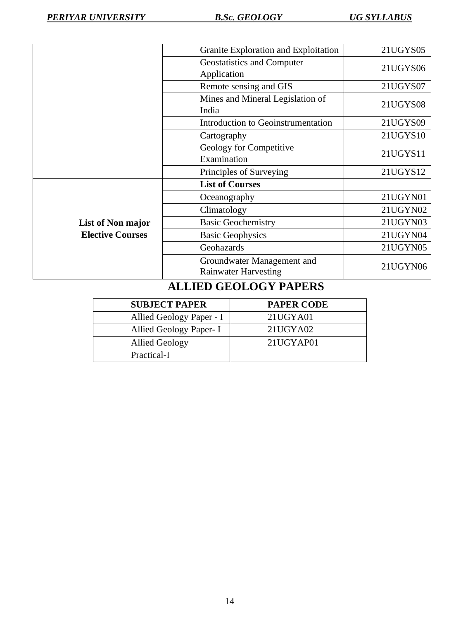|                                              | Granite Exploration and Exploitation                      | 21UGYS05 |  |
|----------------------------------------------|-----------------------------------------------------------|----------|--|
|                                              | Geostatistics and Computer                                | 21UGYS06 |  |
|                                              | Application                                               |          |  |
|                                              | Remote sensing and GIS                                    | 21UGYS07 |  |
|                                              | Mines and Mineral Legislation of<br>India                 | 21UGYS08 |  |
|                                              | Introduction to Geoinstrumentation                        | 21UGYS09 |  |
|                                              | Cartography                                               | 21UGYS10 |  |
|                                              | Geology for Competitive<br>Examination                    | 21UGYS11 |  |
|                                              | Principles of Surveying                                   | 21UGYS12 |  |
| List of Non major<br><b>Elective Courses</b> | <b>List of Courses</b>                                    |          |  |
|                                              | Oceanography                                              | 21UGYN01 |  |
|                                              | Climatology                                               | 21UGYN02 |  |
|                                              | <b>Basic Geochemistry</b>                                 | 21UGYN03 |  |
|                                              | <b>Basic Geophysics</b>                                   | 21UGYN04 |  |
|                                              | Geohazards                                                | 21UGYN05 |  |
|                                              | Groundwater Management and<br><b>Rainwater Harvesting</b> | 21UGYN06 |  |

## **ALLIED GEOLOGY PAPERS**

| <b>SUBJECT PAPER</b>     | <b>PAPER CODE</b> |
|--------------------------|-------------------|
| Allied Geology Paper - I | 21UGYA01          |
| Allied Geology Paper- I  | 21UGYA02          |
| <b>Allied Geology</b>    | 21UGYAP01         |
| Practical-I              |                   |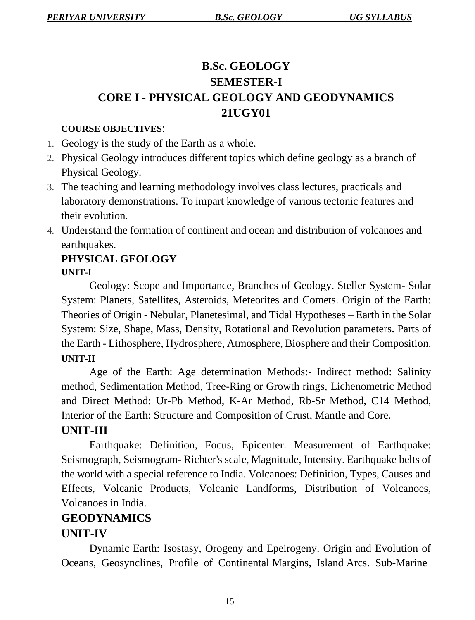## **B.Sc. GEOLOGY SEMESTER-I CORE I - PHYSICAL GEOLOGY AND GEODYNAMICS 21UGY01**

#### **COURSE OBJECTIVES**:

- 1. Geology is the study of the Earth as a whole.
- 2. Physical Geology introduces different topics which define geology as a branch of Physical Geology.
- 3. The teaching and learning methodology involves class lectures, practicals and laboratory demonstrations. To impart knowledge of various tectonic features and their evolution.
- 4. Understand the formation of continent and ocean and distribution of volcanoes and earthquakes.

#### **PHYSICAL GEOLOGY UNIT-I**

Geology: Scope and Importance, Branches of Geology. Steller System- Solar System: Planets, Satellites, Asteroids, Meteorites and Comets. Origin of the Earth: Theories of Origin - Nebular, Planetesimal, and Tidal Hypotheses – Earth in the Solar System: Size, Shape, Mass, Density, Rotational and Revolution parameters. Parts of the Earth - Lithosphere, Hydrosphere, Atmosphere, Biosphere and their Composition. **UNIT-II**

Age of the Earth: Age determination Methods:- Indirect method: Salinity method, Sedimentation Method, Tree-Ring or Growth rings, Lichenometric Method and Direct Method: Ur-Pb Method, K-Ar Method, Rb-Sr Method, C14 Method, Interior of the Earth: Structure and Composition of Crust, Mantle and Core.

## **UNIT-III**

Earthquake: Definition, Focus, Epicenter. Measurement of Earthquake: Seismograph, Seismogram- Richter's scale, Magnitude, Intensity. Earthquake belts of the world with a special reference to India. Volcanoes: Definition, Types, Causes and Effects, Volcanic Products, Volcanic Landforms, Distribution of Volcanoes, Volcanoes in India.

## **GEODYNAMICS**

## **UNIT-IV**

Dynamic Earth: Isostasy, Orogeny and Epeirogeny. Origin and Evolution of Oceans, Geosynclines, Profile of Continental Margins, Island Arcs. Sub-Marine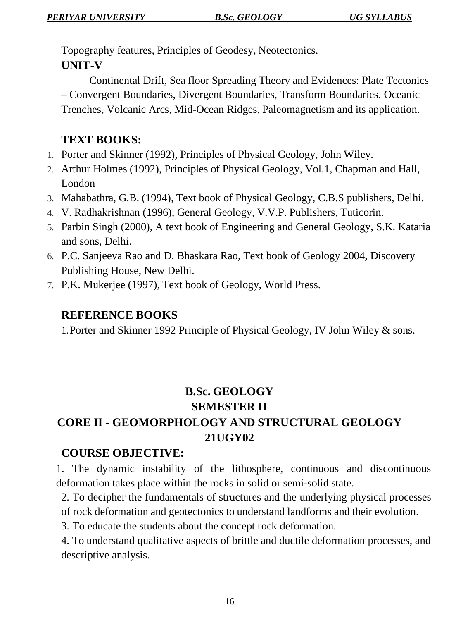Topography features, Principles of Geodesy, Neotectonics. **UNIT-V**

Continental Drift, Sea floor Spreading Theory and Evidences: Plate Tectonics – Convergent Boundaries, Divergent Boundaries, Transform Boundaries. Oceanic Trenches, Volcanic Arcs, Mid-Ocean Ridges, Paleomagnetism and its application.

## **TEXT BOOKS:**

- 1. Porter and Skinner (1992), Principles of Physical Geology, John Wiley.
- 2. Arthur Holmes (1992), Principles of Physical Geology, Vol.1, Chapman and Hall, London
- 3. Mahabathra, G.B. (1994), Text book of Physical Geology, C.B.S publishers, Delhi.
- 4. V. Radhakrishnan (1996), General Geology, V.V.P. Publishers, Tuticorin.
- 5. Parbin Singh (2000), A text book of Engineering and General Geology, S.K. Kataria and sons, Delhi.
- 6. P.C. Sanjeeva Rao and D. Bhaskara Rao, Text book of Geology 2004, Discovery Publishing House, New Delhi.
- 7. P.K. Mukerjee (1997), Text book of Geology, World Press.

#### **REFERENCE BOOKS**

1.Porter and Skinner 1992 Principle of Physical Geology, IV John Wiley & sons.

## **B.Sc. GEOLOGY SEMESTER II**

## **CORE II - GEOMORPHOLOGY AND STRUCTURAL GEOLOGY 21UGY02**

## **COURSE OBJECTIVE:**

1. The dynamic instability of the lithosphere, continuous and discontinuous deformation takes place within the rocks in solid or semi-solid state.

2. To decipher the fundamentals of structures and the underlying physical processes of rock deformation and geotectonics to understand landforms and their evolution.

3. To educate the students about the concept rock deformation.

4. To understand qualitative aspects of brittle and ductile deformation processes, and descriptive analysis.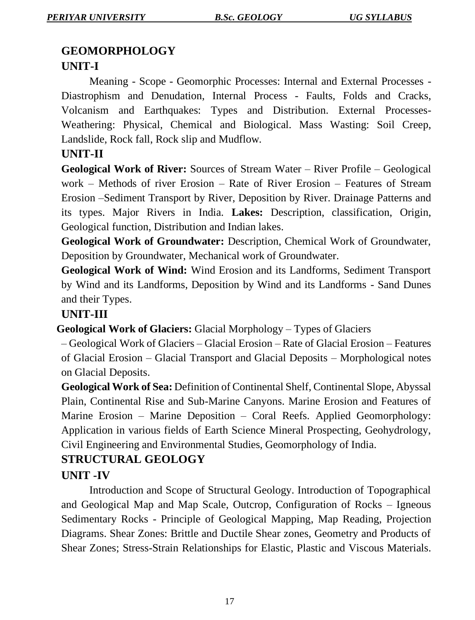## **GEOMORPHOLOGY**

## **UNIT-I**

Meaning - Scope - Geomorphic Processes: Internal and External Processes - Diastrophism and Denudation, Internal Process - Faults, Folds and Cracks, Volcanism and Earthquakes: Types and Distribution. External Processes-Weathering: Physical, Chemical and Biological. Mass Wasting: Soil Creep, Landslide, Rock fall, Rock slip and Mudflow.

#### **UNIT-II**

**Geological Work of River:** Sources of Stream Water – River Profile – Geological work – Methods of river Erosion – Rate of River Erosion – Features of Stream Erosion –Sediment Transport by River, Deposition by River. Drainage Patterns and its types. Major Rivers in India. **Lakes:** Description, classification, Origin, Geological function, Distribution and Indian lakes.

**Geological Work of Groundwater:** Description, Chemical Work of Groundwater, Deposition by Groundwater, Mechanical work of Groundwater.

**Geological Work of Wind:** Wind Erosion and its Landforms, Sediment Transport by Wind and its Landforms, Deposition by Wind and its Landforms - Sand Dunes and their Types.

#### **UNIT-III**

 **Geological Work of Glaciers:** Glacial Morphology – Types of Glaciers

– Geological Work of Glaciers – Glacial Erosion – Rate of Glacial Erosion – Features of Glacial Erosion – Glacial Transport and Glacial Deposits – Morphological notes on Glacial Deposits.

**Geological Work of Sea:** Definition of Continental Shelf, Continental Slope, Abyssal Plain, Continental Rise and Sub-Marine Canyons. Marine Erosion and Features of Marine Erosion – Marine Deposition – Coral Reefs. Applied Geomorphology: Application in various fields of Earth Science Mineral Prospecting, Geohydrology, Civil Engineering and Environmental Studies, Geomorphology of India.

## **STRUCTURAL GEOLOGY UNIT -IV**

Introduction and Scope of Structural Geology. Introduction of Topographical and Geological Map and Map Scale, Outcrop, Configuration of Rocks – Igneous Sedimentary Rocks - Principle of Geological Mapping, Map Reading, Projection Diagrams. Shear Zones: Brittle and Ductile Shear zones, Geometry and Products of Shear Zones; Stress-Strain Relationships for Elastic, Plastic and Viscous Materials.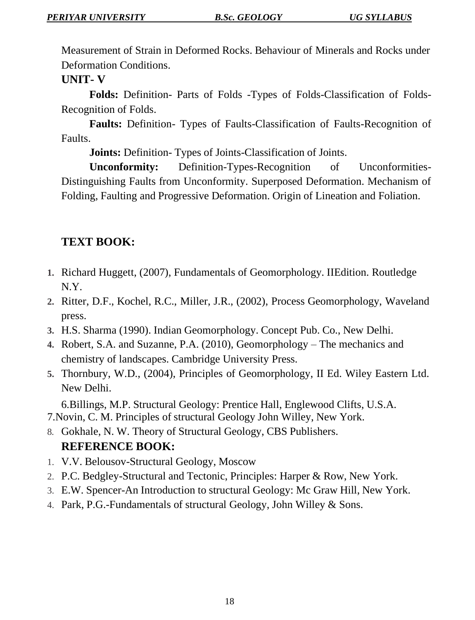Measurement of Strain in Deformed Rocks. Behaviour of Minerals and Rocks under Deformation Conditions.

#### **UNIT- V**

**Folds:** Definition- Parts of Folds -Types of Folds-Classification of Folds-Recognition of Folds.

**Faults:** Definition- Types of Faults-Classification of Faults-Recognition of Faults.

**Joints:** Definition- Types of Joints-Classification of Joints.

**Unconformity:** Definition-Types-Recognition of Unconformities-Distinguishing Faults from Unconformity. Superposed Deformation. Mechanism of Folding, Faulting and Progressive Deformation. Origin of Lineation and Foliation.

## **TEXT BOOK:**

- **1.** Richard Huggett, (2007), Fundamentals of Geomorphology. IIEdition. Routledge N.Y.
- **2.** Ritter, D.F., Kochel, R.C., Miller, J.R., (2002), Process Geomorphology, Waveland press.
- **3.** H.S. Sharma (1990). Indian Geomorphology. Concept Pub. Co., New Delhi.
- **4.** Robert, S.A. and Suzanne, P.A. (2010), Geomorphology The mechanics and chemistry of landscapes. Cambridge University Press.
- **5.** Thornbury, W.D., (2004), Principles of Geomorphology, II Ed. Wiley Eastern Ltd. New Delhi.

6.Billings, M.P. Structural Geology: Prentice Hall, Englewood Clifts, U.S.A. 7.Novin, C. M. Principles of structural Geology John Willey, New York.

- 8. Gokhale, N. W. Theory of Structural Geology, CBS Publishers. **REFERENCE BOOK:**
- 1. V.V. Belousov-Structural Geology, Moscow
- 2. P.C. Bedgley-Structural and Tectonic, Principles: Harper & Row, New York.
- 3. E.W. Spencer-An Introduction to structural Geology: Mc Graw Hill, New York.
- 4. Park, P.G.-Fundamentals of structural Geology, John Willey & Sons.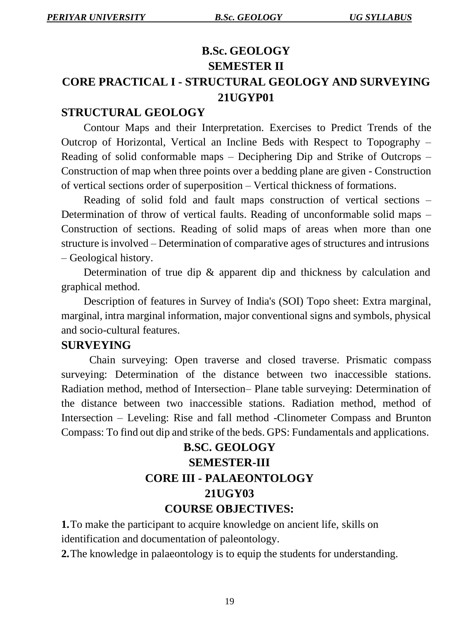## **B.Sc. GEOLOGY SEMESTER II CORE PRACTICAL I - STRUCTURAL GEOLOGY AND SURVEYING 21UGYP01**

#### **STRUCTURAL GEOLOGY**

Contour Maps and their Interpretation. Exercises to Predict Trends of the Outcrop of Horizontal, Vertical an Incline Beds with Respect to Topography – Reading of solid conformable maps – Deciphering Dip and Strike of Outcrops – Construction of map when three points over a bedding plane are given - Construction of vertical sections order of superposition – Vertical thickness of formations.

Reading of solid fold and fault maps construction of vertical sections – Determination of throw of vertical faults. Reading of unconformable solid maps – Construction of sections. Reading of solid maps of areas when more than one structure is involved – Determination of comparative ages of structures and intrusions – Geological history.

Determination of true dip & apparent dip and thickness by calculation and graphical method.

Description of features in Survey of India's (SOI) Topo sheet: Extra marginal, marginal, intra marginal information, major conventional signs and symbols, physical and socio-cultural features.

#### **SURVEYING**

Chain surveying: Open traverse and closed traverse. Prismatic compass surveying: Determination of the distance between two inaccessible stations. Radiation method, method of Intersection– Plane table surveying: Determination of the distance between two inaccessible stations. Radiation method, method of Intersection – Leveling: Rise and fall method -Clinometer Compass and Brunton Compass: To find out dip and strike of the beds. GPS: Fundamentals and applications.

## **B.SC. GEOLOGY SEMESTER-III CORE III - PALAEONTOLOGY 21UGY03 COURSE OBJECTIVES:**

**1.**To make the participant to acquire knowledge on ancient life, skills on identification and documentation of paleontology.

**2.**The knowledge in palaeontology is to equip the students for understanding.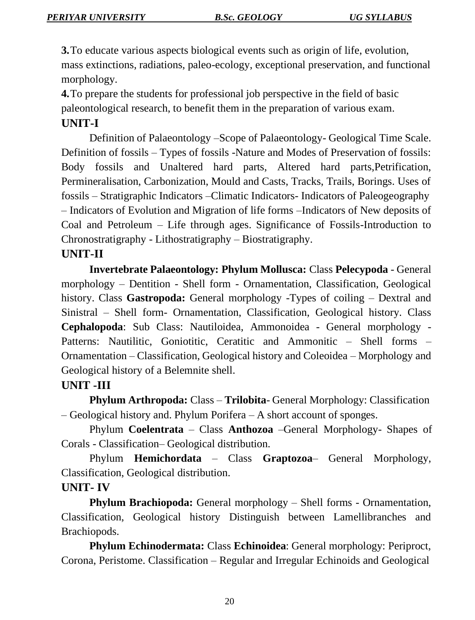**3.**To educate various aspects biological events such as origin of life, evolution, mass extinctions, radiations, paleo-ecology, exceptional preservation, and functional morphology.

**4.**To prepare the students for professional job perspective in the field of basic paleontological research, to benefit them in the preparation of various exam.

#### **UNIT-I**

Definition of Palaeontology –Scope of Palaeontology- Geological Time Scale. Definition of fossils – Types of fossils -Nature and Modes of Preservation of fossils: Body fossils and Unaltered hard parts, Altered hard parts,Petrification, Permineralisation, Carbonization, Mould and Casts, Tracks, Trails, Borings. Uses of fossils – Stratigraphic Indicators –Climatic Indicators- Indicators of Paleogeography – Indicators of Evolution and Migration of life forms –Indicators of New deposits of Coal and Petroleum – Life through ages. Significance of Fossils-Introduction to Chronostratigraphy - Lithostratigraphy – Biostratigraphy.

#### **UNIT-II**

**Invertebrate Palaeontology: Phylum Mollusca:** Class **Pelecypoda** - General morphology – Dentition - Shell form - Ornamentation, Classification, Geological history. Class **Gastropoda:** General morphology -Types of coiling – Dextral and Sinistral – Shell form- Ornamentation, Classification, Geological history. Class **Cephalopoda**: Sub Class: Nautiloidea, Ammonoidea - General morphology - Patterns: Nautilitic, Goniotitic, Ceratitic and Ammonitic – Shell forms – Ornamentation – Classification, Geological history and Coleoidea – Morphology and Geological history of a Belemnite shell.

## **UNIT -III**

**Phylum Arthropoda:** Class – **Trilobita**- General Morphology: Classification – Geological history and. Phylum Porifera – A short account of sponges.

Phylum **Coelentrata** – Class **Anthozoa** –General Morphology- Shapes of Corals - Classification– Geological distribution.

Phylum **Hemichordata** – Class **Graptozoa**– General Morphology, Classification, Geological distribution.

## **UNIT- IV**

**Phylum Brachiopoda:** General morphology – Shell forms - Ornamentation, Classification, Geological history Distinguish between Lamellibranches and Brachiopods.

**Phylum Echinodermata:** Class **Echinoidea**: General morphology: Periproct, Corona, Peristome. Classification – Regular and Irregular Echinoids and Geological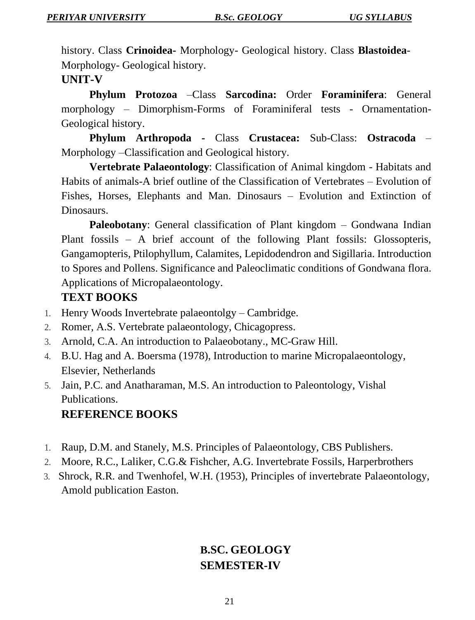history. Class **Crinoidea-** Morphology- Geological history. Class **Blastoidea**-Morphology- Geological history.

#### **UNIT-V**

**Phylum Protozoa** –Class **Sarcodina:** Order **Foraminifera**: General morphology – Dimorphism-Forms of Foraminiferal tests - Ornamentation-Geological history.

**Phylum Arthropoda -** Class **Crustacea:** Sub-Class: **Ostracoda** – Morphology –Classification and Geological history.

**Vertebrate Palaeontology**: Classification of Animal kingdom - Habitats and Habits of animals-A brief outline of the Classification of Vertebrates – Evolution of Fishes, Horses, Elephants and Man. Dinosaurs – Evolution and Extinction of Dinosaurs.

**Paleobotany:** General classification of Plant kingdom – Gondwana Indian Plant fossils – A brief account of the following Plant fossils: Glossopteris, Gangamopteris, Ptilophyllum, Calamites, Lepidodendron and Sigillaria. Introduction to Spores and Pollens. Significance and Paleoclimatic conditions of Gondwana flora. Applications of Micropalaeontology.

#### **TEXT BOOKS**

- 1. Henry Woods Invertebrate palaeontolgy Cambridge.
- 2. Romer, A.S. Vertebrate palaeontology, Chicagopress.
- 3. Arnold, C.A. An introduction to Palaeobotany., MC-Graw Hill.
- 4. B.U. Hag and A. Boersma (1978), Introduction to marine Micropalaeontology, Elsevier, Netherlands
- 5. Jain, P.C. and Anatharaman, M.S. An introduction to Paleontology, Vishal Publications.

#### **REFERENCE BOOKS**

- 1. Raup, D.M. and Stanely, M.S. Principles of Palaeontology, CBS Publishers.
- 2. Moore, R.C., Laliker, C.G.& Fishcher, A.G. Invertebrate Fossils, Harperbrothers
- 3. Shrock, R.R. and Twenhofel, W.H. (1953), Principles of invertebrate Palaeontology, Amold publication Easton.

## **B.SC. GEOLOGY SEMESTER-IV**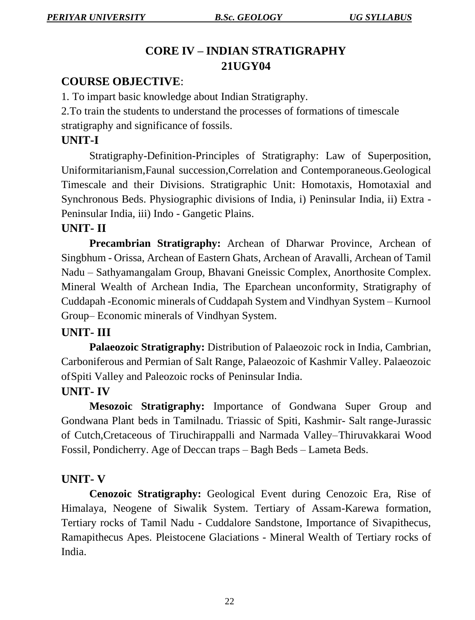## **CORE IV – INDIAN STRATIGRAPHY 21UGY04**

## **COURSE OBJECTIVE**:

1. To impart basic knowledge about Indian Stratigraphy.

2.To train the students to understand the processes of formations of timescale stratigraphy and significance of fossils.

## **UNIT-I**

Stratigraphy-Definition-Principles of Stratigraphy: Law of Superposition, Uniformitarianism,Faunal succession,Correlation and Contemporaneous.Geological Timescale and their Divisions. Stratigraphic Unit: Homotaxis, Homotaxial and Synchronous Beds. Physiographic divisions of India, i) Peninsular India, ii) Extra - Peninsular India, iii) Indo - Gangetic Plains.

## **UNIT- II**

**Precambrian Stratigraphy:** Archean of Dharwar Province, Archean of Singbhum - Orissa, Archean of Eastern Ghats, Archean of Aravalli, Archean of Tamil Nadu – Sathyamangalam Group, Bhavani Gneissic Complex, Anorthosite Complex. Mineral Wealth of Archean India, The Eparchean unconformity, Stratigraphy of Cuddapah -Economic minerals of Cuddapah System and Vindhyan System – Kurnool Group– Economic minerals of Vindhyan System.

## **UNIT- III**

**Palaeozoic Stratigraphy:** Distribution of Palaeozoic rock in India, Cambrian, Carboniferous and Permian of Salt Range, Palaeozoic of Kashmir Valley. Palaeozoic of Spiti Valley and Paleozoic rocks of Peninsular India.

## **UNIT- IV**

**Mesozoic Stratigraphy:** Importance of Gondwana Super Group and Gondwana Plant beds in Tamilnadu. Triassic of Spiti, Kashmir- Salt range-Jurassic of Cutch,Cretaceous of Tiruchirappalli and Narmada Valley–Thiruvakkarai Wood Fossil, Pondicherry. Age of Deccan traps – Bagh Beds – Lameta Beds.

#### **UNIT- V**

**Cenozoic Stratigraphy:** Geological Event during Cenozoic Era, Rise of Himalaya, Neogene of Siwalik System. Tertiary of Assam-Karewa formation, Tertiary rocks of Tamil Nadu - Cuddalore Sandstone, Importance of Sivapithecus, Ramapithecus Apes. Pleistocene Glaciations - Mineral Wealth of Tertiary rocks of India.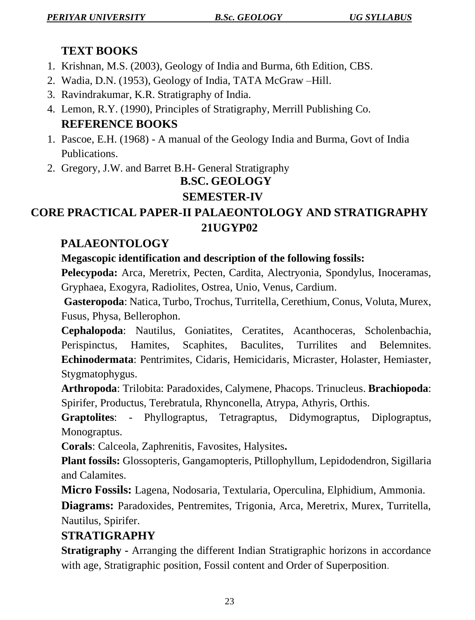## **TEXT BOOKS**

- 1. Krishnan, M.S. (2003), Geology of India and Burma, 6th Edition, CBS.
- 2. Wadia, D.N. (1953), Geology of India, TATA McGraw –Hill.
- 3. Ravindrakumar, K.R. Stratigraphy of India.
- 4. Lemon, R.Y. (1990), Principles of Stratigraphy, Merrill Publishing Co. **REFERENCE BOOKS**
- 1. Pascoe, E.H. (1968) A manual of the Geology India and Burma, Govt of India Publications.
- 2. Gregory, J.W. and Barret B.H- General Stratigraphy

## **B.SC. GEOLOGY**

## **SEMESTER-IV**

## **CORE PRACTICAL PAPER-II PALAEONTOLOGY AND STRATIGRAPHY 21UGYP02**

## **PALAEONTOLOGY**

**Megascopic identification and description of the following fossils:** 

**Pelecypoda:** Arca, Meretrix, Pecten, Cardita, Alectryonia, Spondylus, Inoceramas, Gryphaea, Exogyra, Radiolites, Ostrea, Unio, Venus, Cardium.

**Gasteropoda**: Natica, Turbo, Trochus, Turritella, Cerethium, Conus, Voluta, Murex, Fusus, Physa, Bellerophon.

**Cephalopoda**: Nautilus, Goniatites, Ceratites, Acanthoceras, Scholenbachia, Perispinctus, Hamites, Scaphites, Baculites, Turrilites and Belemnites. **Echinodermata**: Pentrimites, Cidaris, Hemicidaris, Micraster, Holaster, Hemiaster, Stygmatophygus.

**Arthropoda**: Trilobita: Paradoxides, Calymene, Phacops. Trinucleus. **Brachiopoda**: Spirifer, Productus, Terebratula, Rhynconella, Atrypa, Athyris, Orthis.

**Graptolites**: - Phyllograptus, Tetragraptus, Didymograptus, Diplograptus, Monograptus.

**Corals**: Calceola, Zaphrenitis, Favosites, Halysites**.**

**Plant fossils:** Glossopteris, Gangamopteris, Ptillophyllum, Lepidodendron, Sigillaria and Calamites.

**Micro Fossils:** Lagena, Nodosaria, Textularia, Operculina, Elphidium, Ammonia.

**Diagrams:** Paradoxides, Pentremites, Trigonia, Arca, Meretrix, Murex, Turritella, Nautilus, Spirifer.

## **STRATIGRAPHY**

**Stratigraphy -** Arranging the different Indian Stratigraphic horizons in accordance with age, Stratigraphic position, Fossil content and Order of Superposition.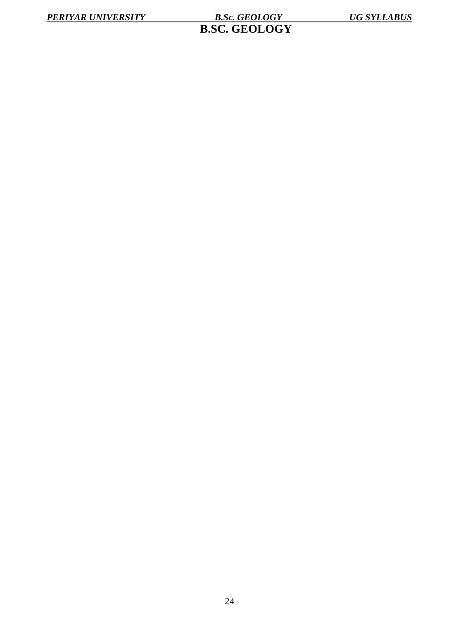**B.SC. GEOLOGY**

24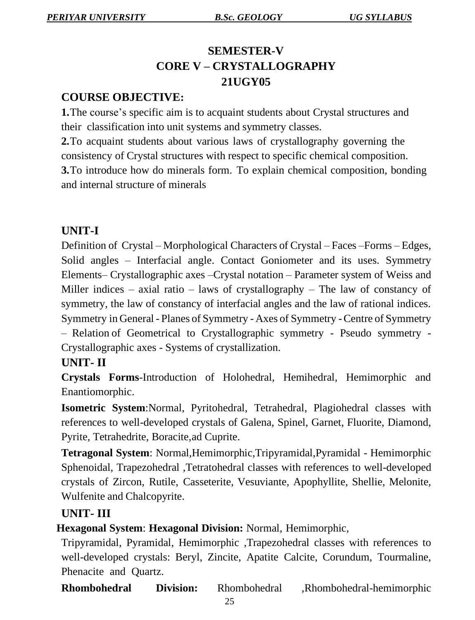## **SEMESTER-V CORE V – CRYSTALLOGRAPHY 21UGY05**

## **COURSE OBJECTIVE:**

**1.**The course's specific aim is to acquaint students about Crystal structures and their classification into unit systems and symmetry classes.

**2.**To acquaint students about various laws of crystallography governing the consistency of Crystal structures with respect to specific chemical composition. **3.**To introduce how do minerals form. To explain chemical composition, bonding and internal structure of minerals

## **UNIT-I**

Definition of Crystal – Morphological Characters of Crystal – Faces –Forms – Edges, Solid angles – Interfacial angle. Contact Goniometer and its uses. Symmetry Elements– Crystallographic axes –Crystal notation – Parameter system of Weiss and Miller indices – axial ratio – laws of crystallography – The law of constancy of symmetry, the law of constancy of interfacial angles and the law of rational indices. Symmetry in General - Planes of Symmetry - Axes of Symmetry -Centre of Symmetry – Relation of Geometrical to Crystallographic symmetry - Pseudo symmetry -

Crystallographic axes - Systems of crystallization.

## **UNIT- II**

**Crystals Forms**-Introduction of Holohedral, Hemihedral, Hemimorphic and Enantiomorphic.

**Isometric System**:Normal, Pyritohedral, Tetrahedral, Plagiohedral classes with references to well-developed crystals of Galena, Spinel, Garnet, Fluorite, Diamond, Pyrite, Tetrahedrite, Boracite,ad Cuprite.

**Tetragonal System**: Normal,Hemimorphic,Tripyramidal,Pyramidal - Hemimorphic Sphenoidal, Trapezohedral ,Tetratohedral classes with references to well-developed crystals of Zircon, Rutile, Casseterite, Vesuviante, Apophyllite, Shellie, Melonite, Wulfenite and Chalcopyrite.

## **UNIT- III**

 **Hexagonal System**: **Hexagonal Division:** Normal, Hemimorphic,

Tripyramidal, Pyramidal, Hemimorphic ,Trapezohedral classes with references to well-developed crystals: Beryl, Zincite, Apatite Calcite, Corundum, Tourmaline, Phenacite and Quartz.

**Rhombohedral Division:** Rhombohedral ,Rhombohedral-hemimorphic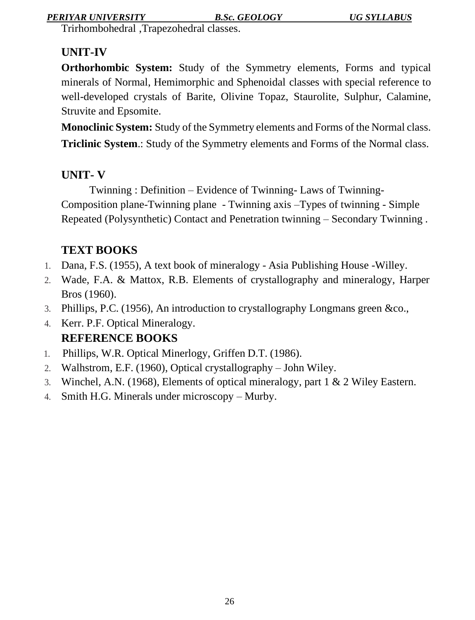#### *PERIYAR UNIVERSITY B.Sc. GEOLOGY UG SYLLABUS*

Trirhombohedral ,Trapezohedral classes.

## **UNIT-IV**

**Orthorhombic System:** Study of the Symmetry elements, Forms and typical minerals of Normal, Hemimorphic and Sphenoidal classes with special reference to well-developed crystals of Barite, Olivine Topaz, Staurolite, Sulphur, Calamine, Struvite and Epsomite.

**Monoclinic System:** Study of the Symmetry elements and Forms of the Normal class. **Triclinic System**.: Study of the Symmetry elements and Forms of the Normal class.

## **UNIT- V**

Twinning : Definition – Evidence of Twinning- Laws of Twinning-Composition plane-Twinning plane - Twinning axis –Types of twinning - Simple Repeated (Polysynthetic) Contact and Penetration twinning – Secondary Twinning .

## **TEXT BOOKS**

- 1. Dana, F.S. (1955), A text book of mineralogy Asia Publishing House -Willey.
- 2. Wade, F.A. & Mattox, R.B. Elements of crystallography and mineralogy, Harper Bros (1960).
- 3. Phillips, P.C. (1956), An introduction to crystallography Longmans green &co.,
- 4. Kerr. P.F. Optical Mineralogy. **REFERENCE BOOKS**
- 1. Phillips, W.R. Optical Minerlogy, Griffen D.T. (1986).
- 2. Walhstrom, E.F. (1960), Optical crystallography John Wiley.
- 3. Winchel, A.N. (1968), Elements of optical mineralogy, part 1 & 2 Wiley Eastern.
- 4. Smith H.G. Minerals under microscopy Murby.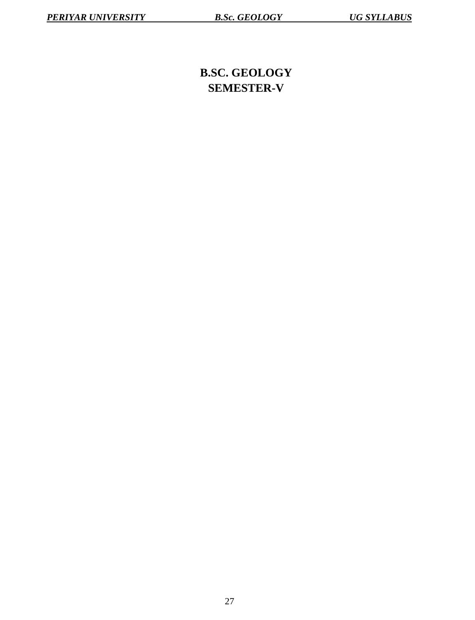## **B.SC. GEOLOGY SEMESTER-V**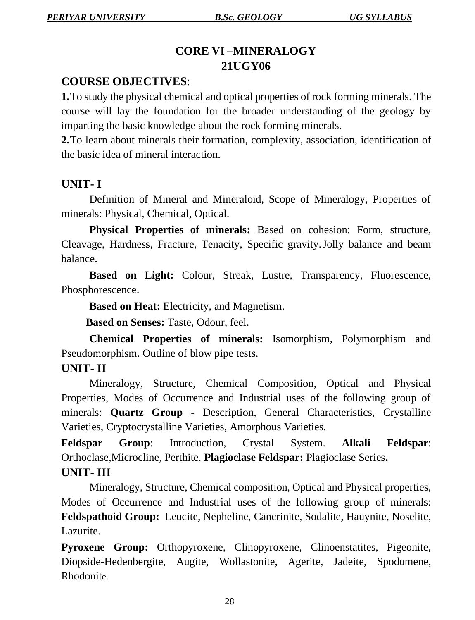## **CORE VI –MINERALOGY 21UGY06**

## **COURSE OBJECTIVES**:

**1.**To study the physical chemical and optical properties of rock forming minerals. The course will lay the foundation for the broader understanding of the geology by imparting the basic knowledge about the rock forming minerals.

**2.**To learn about minerals their formation, complexity, association, identification of the basic idea of mineral interaction.

#### **UNIT- I**

Definition of Mineral and Mineraloid, Scope of Mineralogy, Properties of minerals: Physical, Chemical, Optical.

**Physical Properties of minerals:** Based on cohesion: Form, structure, Cleavage, Hardness, Fracture, Tenacity, Specific gravity.Jolly balance and beam balance.

**Based on Light:** Colour, Streak, Lustre, Transparency, Fluorescence, Phosphorescence.

**Based on Heat:** Electricity, and Magnetism.

 **Based on Senses:** Taste, Odour, feel.

**Chemical Properties of minerals:** Isomorphism, Polymorphism and Pseudomorphism. Outline of blow pipe tests.

#### **UNIT- II**

Mineralogy, Structure, Chemical Composition, Optical and Physical Properties, Modes of Occurrence and Industrial uses of the following group of minerals: **Quartz Group -** Description, General Characteristics, Crystalline Varieties, Cryptocrystalline Varieties, Amorphous Varieties.

**Feldspar Group**: Introduction, Crystal System. **Alkali Feldspar**: Orthoclase,Microcline, Perthite. **Plagioclase Feldspar:** Plagioclase Series**.**

#### **UNIT- III**

Mineralogy, Structure, Chemical composition, Optical and Physical properties, Modes of Occurrence and Industrial uses of the following group of minerals: **Feldspathoid Group:** Leucite, Nepheline, Cancrinite, Sodalite, Hauynite, Noselite, Lazurite.

**Pyroxene Group:** Orthopyroxene, Clinopyroxene, Clinoenstatites, Pigeonite, Diopside-Hedenbergite, Augite, Wollastonite, Agerite, Jadeite, Spodumene, Rhodonite.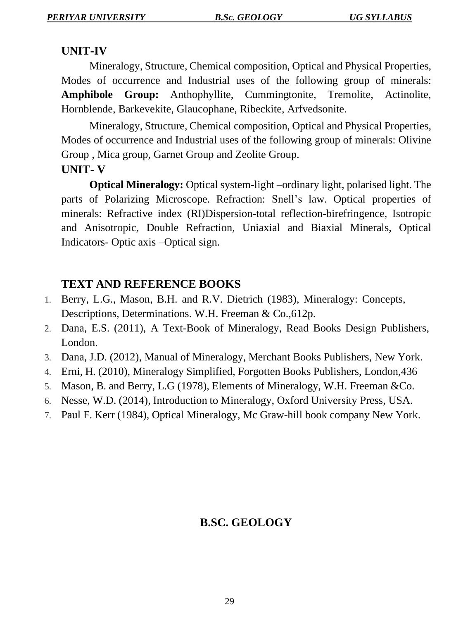#### **UNIT-IV**

Mineralogy, Structure, Chemical composition, Optical and Physical Properties, Modes of occurrence and Industrial uses of the following group of minerals: **Amphibole Group:** Anthophyllite, Cummingtonite, Tremolite, Actinolite, Hornblende, Barkevekite, Glaucophane, Ribeckite, Arfvedsonite.

Mineralogy, Structure, Chemical composition, Optical and Physical Properties, Modes of occurrence and Industrial uses of the following group of minerals: Olivine Group , Mica group, Garnet Group and Zeolite Group.

#### **UNIT- V**

**Optical Mineralogy:** Optical system-light –ordinary light, polarised light. The parts of Polarizing Microscope. Refraction: Snell's law. Optical properties of minerals: Refractive index (RI)Dispersion-total reflection-birefringence, Isotropic and Anisotropic, Double Refraction, Uniaxial and Biaxial Minerals, Optical Indicators- Optic axis –Optical sign.

#### **TEXT AND REFERENCE BOOKS**

- 1. Berry, L.G., Mason, B.H. and R.V. Dietrich (1983), Mineralogy: Concepts, Descriptions, Determinations. W.H. Freeman & Co.,612p.
- 2. Dana, E.S. (2011), A Text-Book of Mineralogy, Read Books Design Publishers, London.
- 3. Dana, J.D. (2012), Manual of Mineralogy, Merchant Books Publishers, New York.
- 4. Erni, H. (2010), Mineralogy Simplified, Forgotten Books Publishers, London,436
- 5. Mason, B. and Berry, L.G (1978), Elements of Mineralogy, W.H. Freeman &Co.
- 6. Nesse, W.D. (2014), Introduction to Mineralogy, Oxford University Press, USA.
- 7. Paul F. Kerr (1984), Optical Mineralogy, Mc Graw-hill book company New York.

## **B.SC. GEOLOGY**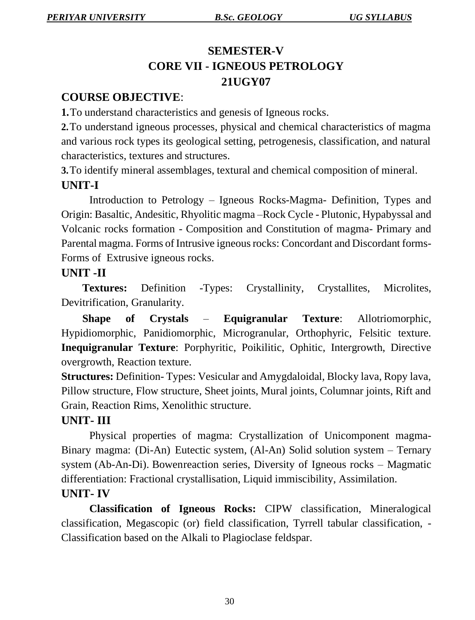## **SEMESTER-V CORE VII - IGNEOUS PETROLOGY 21UGY07**

## **COURSE OBJECTIVE**:

**1.**To understand characteristics and genesis of Igneous rocks.

**2.**To understand igneous processes, physical and chemical characteristics of magma and various rock types its geological setting, petrogenesis, classification, and natural characteristics, textures and structures.

**3.**To identify mineral assemblages, textural and chemical composition of mineral. **UNIT-I**

Introduction to Petrology – Igneous Rocks-Magma- Definition, Types and Origin: Basaltic, Andesitic, Rhyolitic magma –Rock Cycle - Plutonic, Hypabyssal and Volcanic rocks formation - Composition and Constitution of magma- Primary and Parental magma. Forms of Intrusive igneous rocks: Concordant and Discordant forms-Forms of Extrusive igneous rocks.

## **UNIT -II**

**Textures:** Definition -Types: Crystallinity, Crystallites, Microlites, Devitrification, Granularity.

**Shape of Crystals** – **Equigranular Texture**: Allotriomorphic, Hypidiomorphic, Panidiomorphic, Microgranular, Orthophyric, Felsitic texture. **Inequigranular Texture**: Porphyritic, Poikilitic, Ophitic, Intergrowth, Directive overgrowth, Reaction texture.

**Structures:** Definition- Types: Vesicular and Amygdaloidal, Blocky lava, Ropy lava, Pillow structure, Flow structure, Sheet joints, Mural joints, Columnar joints, Rift and Grain, Reaction Rims, Xenolithic structure.

## **UNIT- III**

Physical properties of magma: Crystallization of Unicomponent magma-Binary magma: (Di-An) Eutectic system, (Al-An) Solid solution system – Ternary system (Ab-An-Di). Bowen reaction series, Diversity of Igneous rocks – Magmatic differentiation: Fractional crystallisation, Liquid immiscibility, Assimilation. **UNIT- IV**

**Classification of Igneous Rocks:** CIPW classification, Mineralogical classification, Megascopic (or) field classification, Tyrrell tabular classification, - Classification based on the Alkali to Plagioclase feldspar.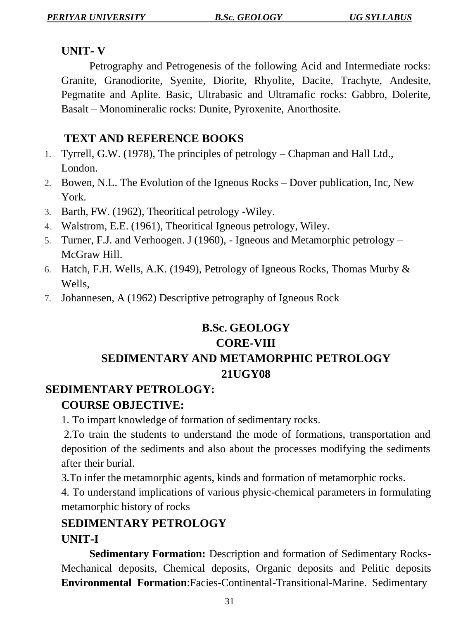#### **UNIT- V**

Petrography and Petrogenesis of the following Acid and Intermediate rocks: Granite, Granodiorite, Syenite, Diorite, Rhyolite, Dacite, Trachyte, Andesite, Pegmatite and Aplite. Basic, Ultrabasic and Ultramafic rocks: Gabbro, Dolerite, Basalt – Monomineralic rocks: Dunite, Pyroxenite, Anorthosite.

## **TEXT AND REFERENCE BOOKS**

- 1. Tyrrell, G.W. (1978), The principles of petrology Chapman and Hall Ltd., London.
- 2. Bowen, N.L. The Evolution of the Igneous Rocks Dover publication, Inc, New York.
- 3. Barth, FW. (1962), Theoritical petrology -Wiley.
- 4. Walstrom, E.E. (1961), Theoritical Igneous petrology, Wiley.
- 5. Turner, F.J. and Verhoogen. J (1960), Igneous and Metamorphic petrology McGraw Hill.
- 6. Hatch, F.H. Wells, A.K. (1949), Petrology of Igneous Rocks, Thomas Murby & Wells,
- 7. Johannesen, A (1962) Descriptive petrography of Igneous Rock

## **B.Sc. GEOLOGY CORE-VIII SEDIMENTARY AND METAMORPHIC PETROLOGY 21UGY08**

## **SEDIMENTARY PETROLOGY: COURSE OBJECTIVE:**

1. To impart knowledge of formation of sedimentary rocks.

2.To train the students to understand the mode of formations, transportation and deposition of the sediments and also about the processes modifying the sediments after their burial.

3.To infer the metamorphic agents, kinds and formation of metamorphic rocks.

4. To understand implications of various physic-chemical parameters in formulating metamorphic history of rocks

## **SEDIMENTARY PETROLOGY UNIT-I**

**Sedimentary Formation:** Description and formation of Sedimentary Rocks-Mechanical deposits, Chemical deposits, Organic deposits and Pelitic deposits **Environmental Formation**:Facies-Continental-Transitional-Marine. Sedimentary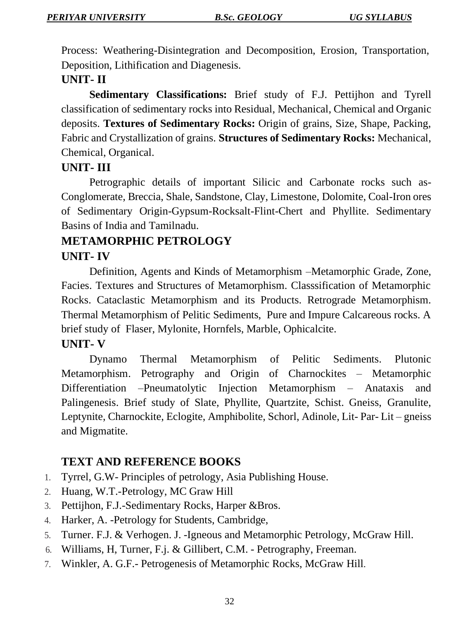Process: Weathering-Disintegration and Decomposition, Erosion, Transportation, Deposition, Lithification and Diagenesis.

## **UNIT- II**

**Sedimentary Classifications:** Brief study of F.J. Pettijhon and Tyrell classification of sedimentary rocks into Residual, Mechanical, Chemical and Organic deposits. **Textures of Sedimentary Rocks:** Origin of grains, Size, Shape, Packing, Fabric and Crystallization of grains. **Structures of Sedimentary Rocks:** Mechanical, Chemical, Organical.

## **UNIT- III**

Petrographic details of important Silicic and Carbonate rocks such as-Conglomerate, Breccia, Shale, Sandstone, Clay, Limestone, Dolomite, Coal-Iron ores of Sedimentary Origin-Gypsum-Rocksalt-Flint-Chert and Phyllite. Sedimentary Basins of India and Tamilnadu.

## **METAMORPHIC PETROLOGY UNIT- IV**

Definition, Agents and Kinds of Metamorphism –Metamorphic Grade, Zone, Facies. Textures and Structures of Metamorphism. Classsification of Metamorphic Rocks. Cataclastic Metamorphism and its Products. Retrograde Metamorphism. Thermal Metamorphism of Pelitic Sediments, Pure and Impure Calcareous rocks. A brief study of Flaser, Mylonite, Hornfels, Marble, Ophicalcite.

## **UNIT- V**

Dynamo Thermal Metamorphism of Pelitic Sediments. Plutonic Metamorphism. Petrography and Origin of Charnockites – Metamorphic Differentiation –Pneumatolytic Injection Metamorphism – Anataxis and Palingenesis. Brief study of Slate, Phyllite, Quartzite, Schist. Gneiss, Granulite, Leptynite, Charnockite, Eclogite, Amphibolite, Schorl, Adinole, Lit- Par- Lit – gneiss and Migmatite.

## **TEXT AND REFERENCE BOOKS**

- 1. Tyrrel, G.W- Principles of petrology, Asia Publishing House.
- 2. Huang, W.T.-Petrology, MC Graw Hill
- 3. Pettijhon, F.J.-Sedimentary Rocks, Harper &Bros.
- 4. Harker, A. -Petrology for Students, Cambridge,
- 5. Turner. F.J. & Verhogen. J. -Igneous and Metamorphic Petrology, McGraw Hill.
- 6. Williams, H, Turner, F.j. & Gillibert, C.M. Petrography, Freeman.
- 7. Winkler, A. G.F.- Petrogenesis of Metamorphic Rocks, McGraw Hill.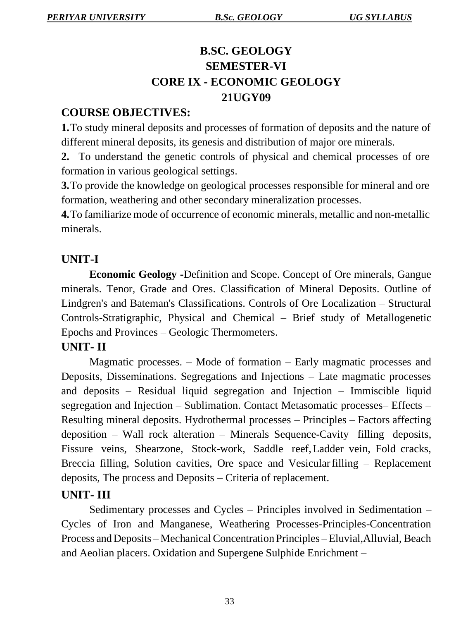## **B.SC. GEOLOGY SEMESTER-VI CORE IX - ECONOMIC GEOLOGY 21UGY09**

#### **COURSE OBJECTIVES:**

**1.**To study mineral deposits and processes of formation of deposits and the nature of different mineral deposits, its genesis and distribution of major ore minerals.

**2.** To understand the genetic controls of physical and chemical processes of ore formation in various geological settings.

**3.**To provide the knowledge on geological processes responsible for mineral and ore formation, weathering and other secondary mineralization processes.

**4.**To familiarize mode of occurrence of economic minerals, metallic and non-metallic minerals.

#### **UNIT-I**

**Economic Geology -**Definition and Scope. Concept of Ore minerals, Gangue minerals. Tenor, Grade and Ores. Classification of Mineral Deposits. Outline of Lindgren's and Bateman's Classifications. Controls of Ore Localization – Structural Controls-Stratigraphic, Physical and Chemical – Brief study of Metallogenetic Epochs and Provinces – Geologic Thermometers.

#### **UNIT- II**

Magmatic processes. – Mode of formation – Early magmatic processes and Deposits, Disseminations. Segregations and Injections – Late magmatic processes and deposits – Residual liquid segregation and Injection – Immiscible liquid segregation and Injection – Sublimation. Contact Metasomatic processes– Effects – Resulting mineral deposits. Hydrothermal processes – Principles – Factors affecting deposition – Wall rock alteration – Minerals Sequence-Cavity filling deposits, Fissure veins, Shearzone, Stock-work, Saddle reef,Ladder vein, Fold cracks, Breccia filling, Solution cavities, Ore space and Vesicular filling – Replacement deposits, The process and Deposits – Criteria of replacement.

#### **UNIT- III**

Sedimentary processes and Cycles – Principles involved in Sedimentation – Cycles of Iron and Manganese, Weathering Processes-Principles-Concentration Process andDeposits – Mechanical Concentration Principles – Eluvial,Alluvial, Beach and Aeolian placers. Oxidation and Supergene Sulphide Enrichment –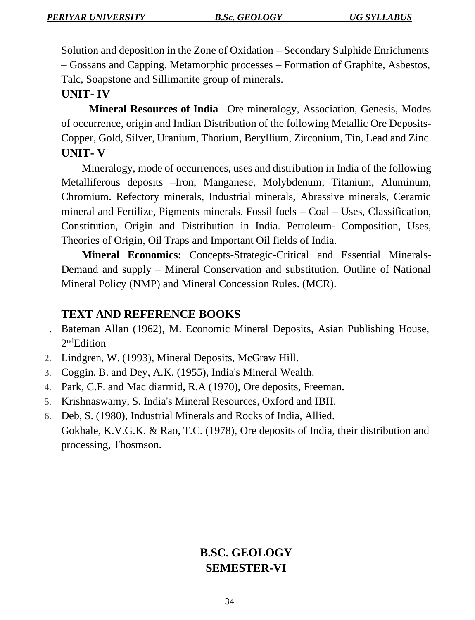Solution and deposition in the Zone of Oxidation – Secondary Sulphide Enrichments – Gossans and Capping. Metamorphic processes – Formation of Graphite, Asbestos, Talc, Soapstone and Sillimanite group of minerals.

#### **UNIT- IV**

**Mineral Resources of India**– Ore mineralogy, Association, Genesis, Modes of occurrence, origin and Indian Distribution of the following Metallic Ore Deposits-Copper, Gold, Silver, Uranium, Thorium, Beryllium, Zirconium, Tin, Lead and Zinc. **UNIT- V**

Mineralogy, mode of occurrences, uses and distribution in India of the following Metalliferous deposits –Iron, Manganese, Molybdenum, Titanium, Aluminum, Chromium. Refectory minerals, Industrial minerals, Abrassive minerals, Ceramic mineral and Fertilize, Pigments minerals. Fossil fuels – Coal – Uses, Classification, Constitution, Origin and Distribution in India. Petroleum- Composition, Uses, Theories of Origin, Oil Traps and Important Oil fields of India.

**Mineral Economics:** Concepts-Strategic-Critical and Essential Minerals-Demand and supply – Mineral Conservation and substitution. Outline of National Mineral Policy (NMP) and Mineral Concession Rules. (MCR).

## **TEXT AND REFERENCE BOOKS**

- 1. Bateman Allan (1962), M. Economic Mineral Deposits, Asian Publishing House, 2<sup>nd</sup>Edition
- 2. Lindgren, W. (1993), Mineral Deposits, McGraw Hill.
- 3. Coggin, B. and Dey, A.K. (1955), India's Mineral Wealth.
- 4. Park, C.F. and Mac diarmid, R.A (1970), Ore deposits, Freeman.
- 5. Krishnaswamy, S. India's Mineral Resources, Oxford and IBH.
- 6. Deb, S. (1980), Industrial Minerals and Rocks of India, Allied. Gokhale, K.V.G.K. & Rao, T.C. (1978), Ore deposits of India, their distribution and processing, Thosmson.

## **B.SC. GEOLOGY SEMESTER-VI**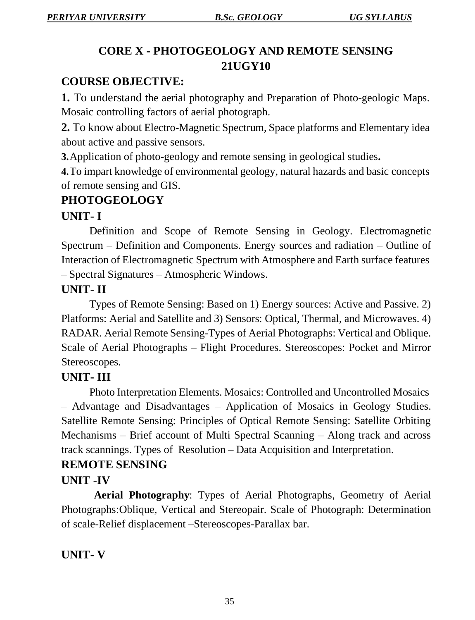## **CORE X - PHOTOGEOLOGY AND REMOTE SENSING 21UGY10**

## **COURSE OBJECTIVE:**

**1.** To understand the aerial photography and Preparation of Photo-geologic Maps. Mosaic controlling factors of aerial photograph.

**2.** To know about Electro-Magnetic Spectrum, Space platforms and Elementary idea about active and passive sensors.

**3.**Application of photo-geology and remote sensing in geological studies**.**

**4.**To impart knowledge of environmental geology, natural hazards and basic concepts of remote sensing and GIS.

## **PHOTOGEOLOGY**

## **UNIT- I**

Definition and Scope of Remote Sensing in Geology. Electromagnetic Spectrum – Definition and Components. Energy sources and radiation – Outline of Interaction of Electromagnetic Spectrum with Atmosphere and Earth surface features – Spectral Signatures – Atmospheric Windows.

## **UNIT- II**

Types of Remote Sensing: Based on 1) Energy sources: Active and Passive. 2) Platforms: Aerial and Satellite and 3) Sensors: Optical, Thermal, and Microwaves. 4) RADAR. Aerial Remote Sensing-Types of Aerial Photographs: Vertical and Oblique. Scale of Aerial Photographs – Flight Procedures. Stereoscopes: Pocket and Mirror Stereoscopes.

#### **UNIT- III**

Photo Interpretation Elements. Mosaics: Controlled and Uncontrolled Mosaics – Advantage and Disadvantages – Application of Mosaics in Geology Studies. Satellite Remote Sensing: Principles of Optical Remote Sensing: Satellite Orbiting Mechanisms – Brief account of Multi Spectral Scanning – Along track and across track scannings. Types of Resolution – Data Acquisition and Interpretation.

## **REMOTE SENSING**

## **UNIT -IV**

 **Aerial Photography**: Types of Aerial Photographs, Geometry of Aerial Photographs:Oblique, Vertical and Stereopair. Scale of Photograph: Determination of scale-Relief displacement –Stereoscopes-Parallax bar.

## **UNIT- V**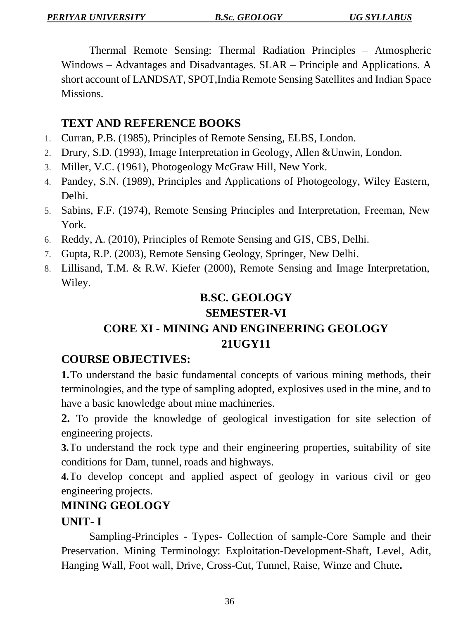Thermal Remote Sensing: Thermal Radiation Principles – Atmospheric Windows – Advantages and Disadvantages. SLAR – Principle and Applications. A short account of LANDSAT, SPOT,India Remote Sensing Satellites and Indian Space Missions.

## **TEXT AND REFERENCE BOOKS**

- 1. Curran, P.B. (1985), Principles of Remote Sensing, ELBS, London.
- 2. Drury, S.D. (1993), Image Interpretation in Geology, Allen &Unwin, London.
- 3. Miller, V.C. (1961), Photogeology McGraw Hill, New York.
- 4. Pandey, S.N. (1989), Principles and Applications of Photogeology, Wiley Eastern, Delhi.
- 5. Sabins, F.F. (1974), Remote Sensing Principles and Interpretation, Freeman, New York.
- 6. Reddy, A. (2010), Principles of Remote Sensing and GIS, CBS, Delhi.
- 7. Gupta, R.P. (2003), Remote Sensing Geology, Springer, New Delhi.
- 8. Lillisand, T.M. & R.W. Kiefer (2000), Remote Sensing and Image Interpretation, Wiley.

## **B.SC. GEOLOGY**

## **SEMESTER-VI**

## **CORE XI - MINING AND ENGINEERING GEOLOGY 21UGY11**

## **COURSE OBJECTIVES:**

**1.**To understand the basic fundamental concepts of various mining methods, their terminologies, and the type of sampling adopted, explosives used in the mine, and to have a basic knowledge about mine machineries.

**2.** To provide the knowledge of geological investigation for site selection of engineering projects.

**3.**To understand the rock type and their engineering properties, suitability of site conditions for Dam, tunnel, roads and highways.

**4.**To develop concept and applied aspect of geology in various civil or geo engineering projects.

## **MINING GEOLOGY**

## **UNIT- I**

Sampling-Principles - Types- Collection of sample-Core Sample and their Preservation. Mining Terminology: Exploitation-Development-Shaft, Level, Adit, Hanging Wall, Foot wall, Drive, Cross-Cut, Tunnel, Raise, Winze and Chute**.**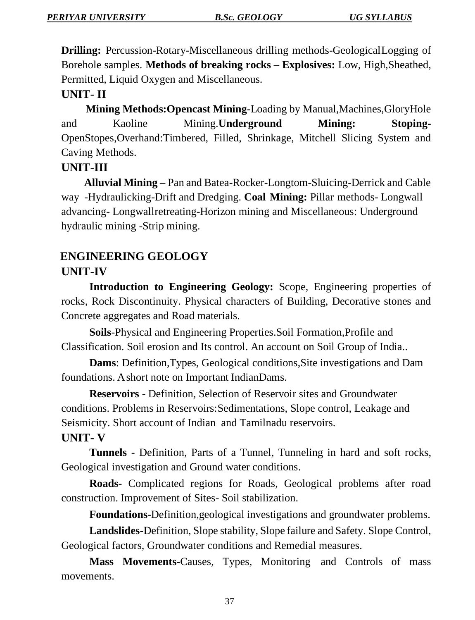**Drilling:** Percussion-Rotary-Miscellaneous drilling methods-GeologicalLogging of Borehole samples. **Methods of breaking rocks – Explosives:** Low, High,Sheathed, Permitted, Liquid Oxygen and Miscellaneous.

## **UNIT- II**

 **Mining Methods:Opencast Mining-**Loading by Manual,Machines,GloryHole and Kaoline Mining.**Underground Mining: Stoping-**OpenStopes,Overhand:Timbered, Filled, Shrinkage, Mitchell Slicing System and Caving Methods.

#### **UNIT-III**

**Alluvial Mining –** Pan and Batea-Rocker-Longtom-Sluicing-Derrick and Cable way -Hydraulicking-Drift and Dredging. **Coal Mining:** Pillar methods- Longwall advancing- Longwallretreating-Horizon mining and Miscellaneous: Underground hydraulic mining -Strip mining.

# **ENGINEERING GEOLOGY UNIT-IV**

**Introduction to Engineering Geology:** Scope, Engineering properties of rocks, Rock Discontinuity. Physical characters of Building, Decorative stones and Concrete aggregates and Road materials.

**Soils**-Physical and Engineering Properties.Soil Formation,Profile and Classification. Soil erosion and Its control. An account on Soil Group of India..

**Dams**: Definition,Types, Geological conditions,Site investigations and Dam foundations. A short note on Important IndianDams.

**Reservoirs** - Definition, Selection of Reservoir sites and Groundwater conditions. Problems in Reservoirs:Sedimentations, Slope control, Leakage and Seismicity. Short account of Indian and Tamilnadu reservoirs.

#### **UNIT- V**

**Tunnels** - Definition, Parts of a Tunnel, Tunneling in hard and soft rocks, Geological investigation and Ground water conditions.

**Roads**- Complicated regions for Roads, Geological problems after road construction. Improvement of Sites- Soil stabilization.

**Foundations**-Definition,geological investigations and groundwater problems.

**Landslides-**Definition, Slope stability, Slope failure and Safety. Slope Control, Geological factors, Groundwater conditions and Remedial measures.

**Mass Movements-**Causes, Types, Monitoring and Controls of mass movements.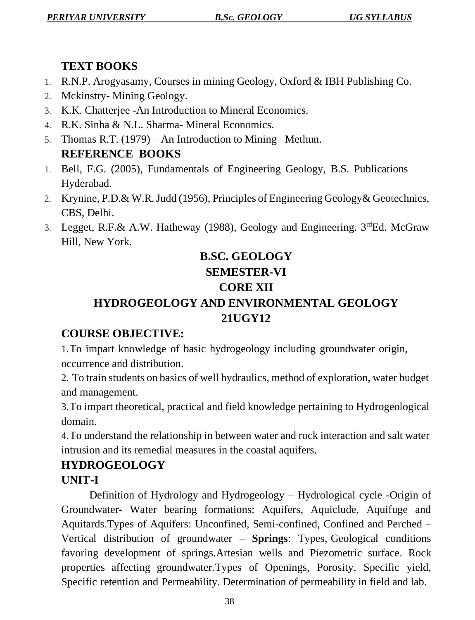# **TEXT BOOKS**

- 1. R.N.P. Arogyasamy, Courses in mining Geology, Oxford & IBH Publishing Co.
- 2. Mckinstry- Mining Geology.
- 3. K.K. Chatterjee -An Introduction to Mineral Economics.
- 4. R.K. Sinha & N.L. Sharma- Mineral Economics.
- 5. Thomas R.T. (1979) An Introduction to Mining –Methun. **REFERENCE BOOKS**
- 1. Bell, F.G. (2005), Fundamentals of Engineering Geology, B.S. Publications Hyderabad.
- 2. Krynine, P.D.& W.R.Judd (1956), Principles of Engineering Geology& Geotechnics, CBS, Delhi.
- 3. Legget, R.F.& A.W. Hatheway (1988), Geology and Engineering. 3rdEd. McGraw Hill, New York.

# **B.SC. GEOLOGY SEMESTER-VI CORE XII HYDROGEOLOGY AND ENVIRONMENTAL GEOLOGY**

# **21UGY12**

# **COURSE OBJECTIVE:**

1.To impart knowledge of basic hydrogeology including groundwater origin, occurrence and distribution.

2. To train students on basics of well hydraulics, method of exploration, water budget and management.

3.To impart theoretical, practical and field knowledge pertaining to Hydrogeological domain.

4.To understand the relationship in between water and rock interaction and salt water intrusion and its remedial measures in the coastal aquifers.

# **HYDROGEOLOGY**

# **UNIT-I**

Definition of Hydrology and Hydrogeology – Hydrological cycle -Origin of Groundwater- Water bearing formations: Aquifers, Aquiclude, Aquifuge and Aquitards.Types of Aquifers: Unconfined, Semi-confined, Confined and Perched – Vertical distribution of groundwater – **Springs**: Types, Geological conditions favoring development of springs.Artesian wells and Piezometric surface. Rock properties affecting groundwater.Types of Openings, Porosity, Specific yield, Specific retention and Permeability. Determination of permeability in field and lab.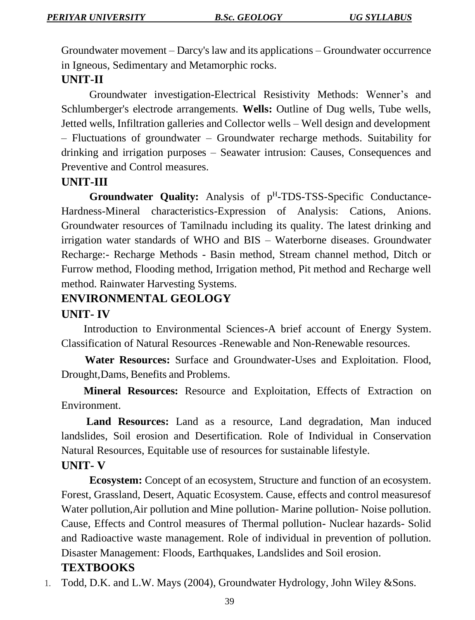Groundwater movement – Darcy's law and its applications – Groundwater occurrence in Igneous, Sedimentary and Metamorphic rocks.

### **UNIT-II**

Groundwater investigation-Electrical Resistivity Methods: Wenner's and Schlumberger's electrode arrangements. **Wells:** Outline of Dug wells, Tube wells, Jetted wells, Infiltration galleries and Collector wells – Well design and development – Fluctuations of groundwater – Groundwater recharge methods. Suitability for drinking and irrigation purposes – Seawater intrusion: Causes, Consequences and Preventive and Control measures.

#### **UNIT-III**

**Groundwater Quality:** Analysis of p H -TDS-TSS-Specific Conductance-Hardness-Mineral characteristics-Expression of Analysis: Cations, Anions. Groundwater resources of Tamilnadu including its quality. The latest drinking and irrigation water standards of WHO and BIS – Waterborne diseases. Groundwater Recharge:- Recharge Methods - Basin method, Stream channel method, Ditch or Furrow method, Flooding method, Irrigation method, Pit method and Recharge well method. Rainwater Harvesting Systems.

# **ENVIRONMENTAL GEOLOGY**

#### **UNIT- IV**

Introduction to Environmental Sciences-A brief account of Energy System. Classification of Natural Resources -Renewable and Non-Renewable resources.

 **Water Resources:** Surface and Groundwater-Uses and Exploitation. Flood, Drought,Dams, Benefits and Problems.

**Mineral Resources:** Resource and Exploitation, Effects of Extraction on Environment.

**Land Resources:** Land as a resource, Land degradation, Man induced landslides, Soil erosion and Desertification. Role of Individual in Conservation Natural Resources, Equitable use of resources for sustainable lifestyle.

#### **UNIT- V**

**Ecosystem:** Concept of an ecosystem, Structure and function of an ecosystem. Forest, Grassland, Desert, Aquatic Ecosystem. Cause, effects and control measuresof Water pollution,Air pollution and Mine pollution- Marine pollution- Noise pollution. Cause, Effects and Control measures of Thermal pollution- Nuclear hazards- Solid and Radioactive waste management. Role of individual in prevention of pollution. Disaster Management: Floods, Earthquakes, Landslides and Soil erosion.

# **TEXTBOOKS**

1. Todd, D.K. and L.W. Mays (2004), Groundwater Hydrology, John Wiley &Sons.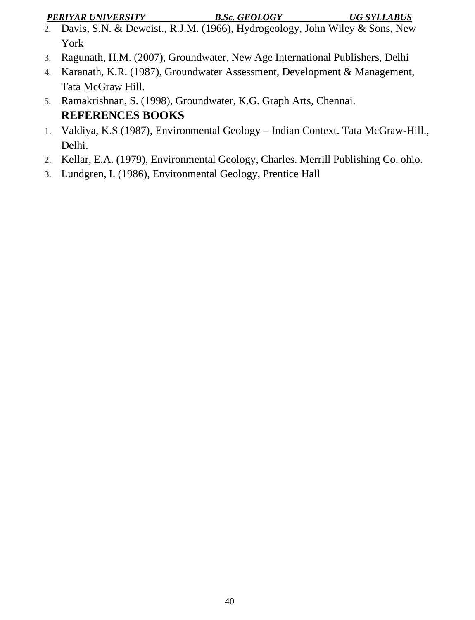*PERIYAR UNIVERSITY B.Sc. GEOLOGY UG SYLLABUS*

- 2. Davis, S.N. & Deweist., R.J.M. (1966), Hydrogeology, John Wiley & Sons, New York
- 3. Ragunath, H.M. (2007), Groundwater, New Age International Publishers, Delhi
- 4. Karanath, K.R. (1987), Groundwater Assessment, Development & Management, Tata McGraw Hill.
- 5. Ramakrishnan, S. (1998), Groundwater, K.G. Graph Arts, Chennai. **REFERENCES BOOKS**
- 1. Valdiya, K.S (1987), Environmental Geology Indian Context. Tata McGraw-Hill., Delhi.
- 2. Kellar, E.A. (1979), Environmental Geology, Charles. Merrill Publishing Co. ohio.
- 3. Lundgren, I. (1986), Environmental Geology, Prentice Hall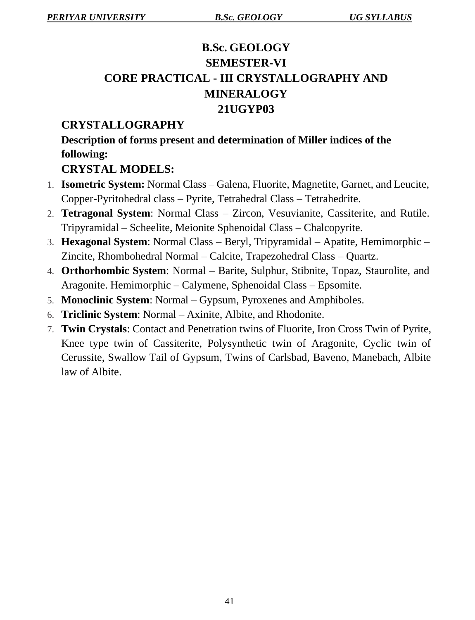# **B.Sc. GEOLOGY SEMESTER-VI CORE PRACTICAL - III CRYSTALLOGRAPHY AND MINERALOGY 21UGYP03**

# **CRYSTALLOGRAPHY**

**Description of forms present and determination of Miller indices of the following:**

## **CRYSTAL MODELS:**

- 1. **Isometric System:** Normal Class Galena, Fluorite, Magnetite, Garnet, and Leucite, Copper-Pyritohedral class – Pyrite, Tetrahedral Class – Tetrahedrite.
- 2. **Tetragonal System**: Normal Class Zircon, Vesuvianite, Cassiterite, and Rutile. Tripyramidal – Scheelite, Meionite Sphenoidal Class – Chalcopyrite.
- 3. **Hexagonal System**: Normal Class Beryl, Tripyramidal Apatite, Hemimorphic Zincite, Rhombohedral Normal – Calcite, Trapezohedral Class – Quartz.
- 4. **Orthorhombic System**: Normal Barite, Sulphur, Stibnite, Topaz, Staurolite, and Aragonite. Hemimorphic – Calymene, Sphenoidal Class – Epsomite.
- 5. **Monoclinic System**: Normal Gypsum, Pyroxenes and Amphiboles.
- 6. **Triclinic System**: Normal Axinite, Albite, and Rhodonite.
- 7. **Twin Crystals**: Contact and Penetration twins of Fluorite, Iron Cross Twin of Pyrite, Knee type twin of Cassiterite, Polysynthetic twin of Aragonite, Cyclic twin of Cerussite, Swallow Tail of Gypsum, Twins of Carlsbad, Baveno, Manebach, Albite law of Albite.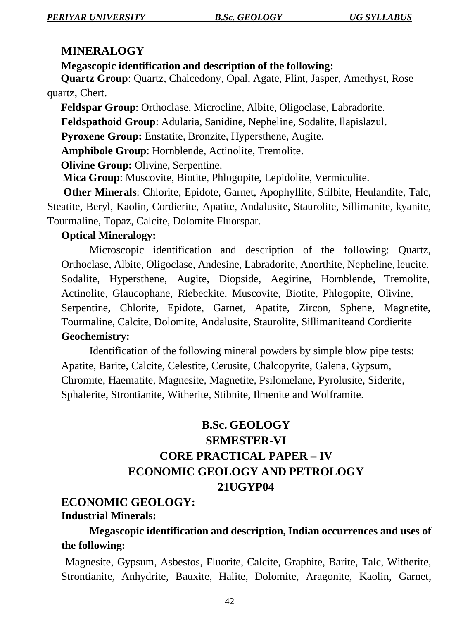#### **MINERALOGY**

#### **Megascopic identification and description of the following:**

 **Quartz Group**: Quartz, Chalcedony, Opal, Agate, Flint, Jasper, Amethyst, Rose quartz, Chert.

 **Feldspar Group**: Orthoclase, Microcline, Albite, Oligoclase, Labradorite.

**Feldspathoid Group**: Adularia, Sanidine, Nepheline, Sodalite, llapislazul.

**Pyroxene Group:** Enstatite, Bronzite, Hypersthene, Augite.

**Amphibole Group**: Hornblende, Actinolite, Tremolite.

 **Olivine Group:** Olivine, Serpentine.

**Mica Group**: Muscovite, Biotite, Phlogopite, Lepidolite, Vermiculite.

 **Other Minerals**: Chlorite, Epidote, Garnet, Apophyllite, Stilbite, Heulandite, Talc, Steatite, Beryl, Kaolin, Cordierite, Apatite, Andalusite, Staurolite, Sillimanite, kyanite, Tourmaline, Topaz, Calcite, Dolomite Fluorspar.

#### **Optical Mineralogy:**

Microscopic identification and description of the following: Quartz, Orthoclase, Albite, Oligoclase, Andesine, Labradorite, Anorthite, Nepheline, leucite, Sodalite, Hypersthene, Augite, Diopside, Aegirine, Hornblende, Tremolite, Actinolite, Glaucophane, Riebeckite, Muscovite, Biotite, Phlogopite, Olivine, Serpentine, Chlorite, Epidote, Garnet, Apatite, Zircon, Sphene, Magnetite, Tourmaline, Calcite, Dolomite, Andalusite, Staurolite, Sillimaniteand Cordierite **Geochemistry:**

Identification of the following mineral powders by simple blow pipe tests: Apatite, Barite, Calcite, Celestite, Cerusite, Chalcopyrite, Galena, Gypsum, Chromite, Haematite, Magnesite, Magnetite, Psilomelane, Pyrolusite, Siderite, Sphalerite, Strontianite, Witherite, Stibnite, Ilmenite and Wolframite.

# **B.Sc. GEOLOGY SEMESTER-VI CORE PRACTICAL PAPER – IV ECONOMIC GEOLOGY AND PETROLOGY 21UGYP04**

# **ECONOMIC GEOLOGY:**

#### **Industrial Minerals:**

# **Megascopic identification and description, Indian occurrences and uses of the following:**

Magnesite, Gypsum, Asbestos, Fluorite, Calcite, Graphite, Barite, Talc, Witherite, Strontianite, Anhydrite, Bauxite, Halite, Dolomite, Aragonite, Kaolin, Garnet,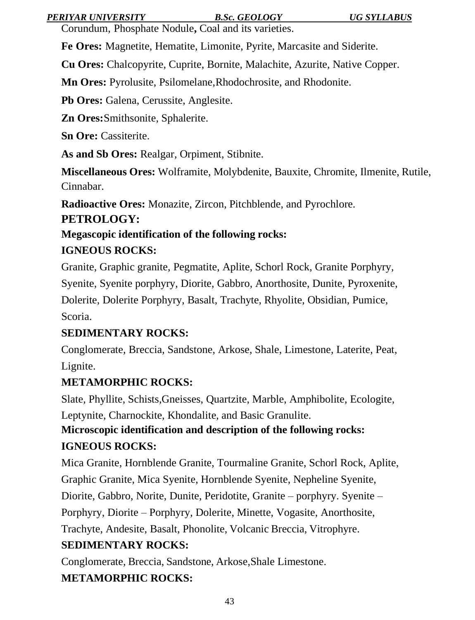#### *PERIYAR UNIVERSITY B.Sc. GEOLOGY UG SYLLABUS*

Corundum, Phosphate Nodule**,** Coal and its varieties.

**Fe Ores:** Magnetite, Hematite, Limonite, Pyrite, Marcasite and Siderite.

**Cu Ores:** Chalcopyrite, Cuprite, Bornite, Malachite, Azurite, Native Copper.

**Mn Ores:** Pyrolusite, Psilomelane,Rhodochrosite, and Rhodonite.

**Pb Ores:** Galena, Cerussite, Anglesite.

**Zn Ores:**Smithsonite, Sphalerite.

**Sn Ore:** Cassiterite.

**As and Sb Ores:** Realgar, Orpiment, Stibnite.

**Miscellaneous Ores:** Wolframite, Molybdenite, Bauxite, Chromite, Ilmenite, Rutile, Cinnabar.

**Radioactive Ores:** Monazite, Zircon, Pitchblende, and Pyrochlore.

## **PETROLOGY:**

# **Megascopic identification of the following rocks:**

## **IGNEOUS ROCKS:**

Granite, Graphic granite, Pegmatite, Aplite, Schorl Rock, Granite Porphyry, Syenite, Syenite porphyry, Diorite, Gabbro, Anorthosite, Dunite, Pyroxenite, Dolerite, Dolerite Porphyry, Basalt, Trachyte, Rhyolite, Obsidian, Pumice, Scoria.

# **SEDIMENTARY ROCKS:**

Conglomerate, Breccia, Sandstone, Arkose, Shale, Limestone, Laterite, Peat, Lignite.

# **METAMORPHIC ROCKS:**

Slate, Phyllite, Schists,Gneisses, Quartzite, Marble, Amphibolite, Ecologite, Leptynite, Charnockite, Khondalite, and Basic Granulite.

# **Microscopic identification and description of the following rocks: IGNEOUS ROCKS:**

Mica Granite, Hornblende Granite, Tourmaline Granite, Schorl Rock, Aplite, Graphic Granite, Mica Syenite, Hornblende Syenite, Nepheline Syenite, Diorite, Gabbro, Norite, Dunite, Peridotite, Granite – porphyry. Syenite –

Porphyry, Diorite – Porphyry, Dolerite, Minette, Vogasite, Anorthosite,

Trachyte, Andesite, Basalt, Phonolite, Volcanic Breccia, Vitrophyre.

# **SEDIMENTARY ROCKS:**

Conglomerate, Breccia, Sandstone, Arkose,Shale Limestone. **METAMORPHIC ROCKS:**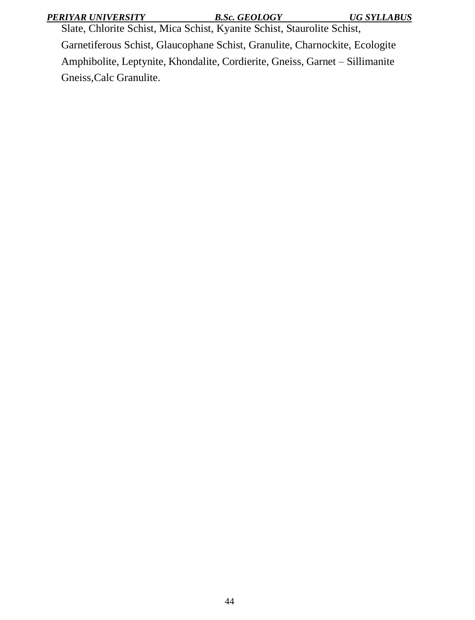| PERIYAR UNIVERSITY |  |
|--------------------|--|
|--------------------|--|

*PERIYAR UNIVERSITY B.Sc. GEOLOGY UG SYLLABUS*

Slate, Chlorite Schist, Mica Schist, Kyanite Schist, Staurolite Schist, Garnetiferous Schist, Glaucophane Schist, Granulite, Charnockite, Ecologite Amphibolite, Leptynite, Khondalite, Cordierite, Gneiss, Garnet – Sillimanite Gneiss,Calc Granulite.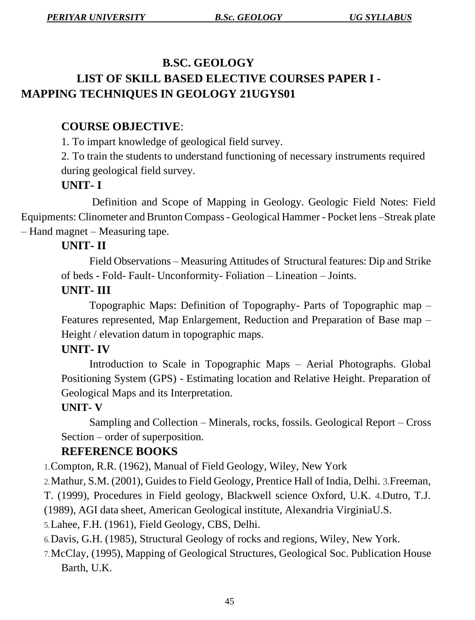# **B.SC. GEOLOGY LIST OF SKILL BASED ELECTIVE COURSES PAPER I - MAPPING TECHNIQUES IN GEOLOGY 21UGYS01**

# **COURSE OBJECTIVE**:

1. To impart knowledge of geological field survey.

2. To train the students to understand functioning of necessary instruments required during geological field survey.

# **UNIT- I**

 Definition and Scope of Mapping in Geology. Geologic Field Notes: Field Equipments: Clinometer andBruntonCompass- Geological Hammer - Pocket lens –Streak plate – Hand magnet – Measuring tape.

## **UNIT- II**

Field Observations – Measuring Attitudes of Structural features: Dip and Strike of beds - Fold- Fault- Unconformity- Foliation – Lineation – Joints.

#### **UNIT- III**

Topographic Maps: Definition of Topography- Parts of Topographic map – Features represented, Map Enlargement, Reduction and Preparation of Base map – Height / elevation datum in topographic maps.

#### **UNIT- IV**

Introduction to Scale in Topographic Maps – Aerial Photographs. Global Positioning System (GPS) - Estimating location and Relative Height. Preparation of Geological Maps and its Interpretation.

#### **UNIT- V**

Sampling and Collection – Minerals, rocks, fossils. Geological Report – Cross Section – order of superposition.

#### **REFERENCE BOOKS**

1.Compton, R.R. (1962), Manual of Field Geology, Wiley, New York

2.Mathur, S.M. (2001), Guides to Field Geology, Prentice Hall of India, Delhi. 3.Freeman,

T. (1999), Procedures in Field geology, Blackwell science Oxford, U.K. 4.Dutro, T.J.

(1989), AGI data sheet, American Geological institute, Alexandria VirginiaU.S.

5.Lahee, F.H. (1961), Field Geology, CBS, Delhi.

6.Davis, G.H. (1985), Structural Geology of rocks and regions, Wiley, New York.

7.McClay, (1995), Mapping of Geological Structures, Geological Soc. Publication House Barth, U.K.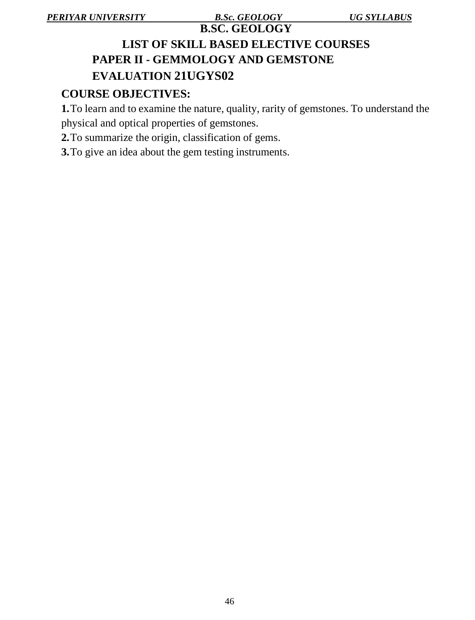# **B.SC. GEOLOGY LIST OF SKILL BASED ELECTIVE COURSES PAPER II - GEMMOLOGY AND GEMSTONE EVALUATION 21UGYS02**

## **COURSE OBJECTIVES:**

**1.**To learn and to examine the nature, quality, rarity of gemstones. To understand the physical and optical properties of gemstones.

**2.**To summarize the origin, classification of gems.

**3.**To give an idea about the gem testing instruments.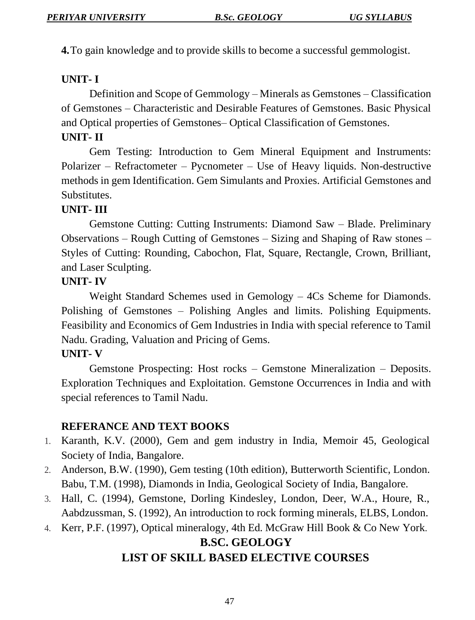**4.**To gain knowledge and to provide skills to become a successful gemmologist.

## **UNIT- I**

Definition and Scope of Gemmology – Minerals as Gemstones – Classification of Gemstones – Characteristic and Desirable Features of Gemstones. Basic Physical and Optical properties of Gemstones– Optical Classification of Gemstones.

## **UNIT- II**

Gem Testing: Introduction to Gem Mineral Equipment and Instruments: Polarizer – Refractometer – Pycnometer – Use of Heavy liquids. Non-destructive methods in gem Identification. Gem Simulants and Proxies. Artificial Gemstones and Substitutes.

## **UNIT- III**

Gemstone Cutting: Cutting Instruments: Diamond Saw – Blade. Preliminary Observations – Rough Cutting of Gemstones – Sizing and Shaping of Raw stones – Styles of Cutting: Rounding, Cabochon, Flat, Square, Rectangle, Crown, Brilliant, and Laser Sculpting.

#### **UNIT- IV**

Weight Standard Schemes used in Gemology – 4Cs Scheme for Diamonds. Polishing of Gemstones – Polishing Angles and limits. Polishing Equipments. Feasibility and Economics of Gem Industries in India with special reference to Tamil Nadu. Grading, Valuation and Pricing of Gems.

#### **UNIT- V**

Gemstone Prospecting: Host rocks – Gemstone Mineralization – Deposits. Exploration Techniques and Exploitation. Gemstone Occurrences in India and with special references to Tamil Nadu.

#### **REFERANCE AND TEXT BOOKS**

- 1. Karanth, K.V. (2000), Gem and gem industry in India, Memoir 45, Geological Society of India, Bangalore.
- 2. Anderson, B.W. (1990), Gem testing (10th edition), Butterworth Scientific, London. Babu, T.M. (1998), Diamonds in India, Geological Society of India, Bangalore.
- 3. Hall, C. (1994), Gemstone, Dorling Kindesley, London, Deer, W.A., Houre, R., Aabdzussman, S. (1992), An introduction to rock forming minerals, ELBS, London.
- 4. Kerr, P.F. (1997), Optical mineralogy, 4th Ed. McGraw Hill Book & Co New York.

# **B.SC. GEOLOGY LIST OF SKILL BASED ELECTIVE COURSES**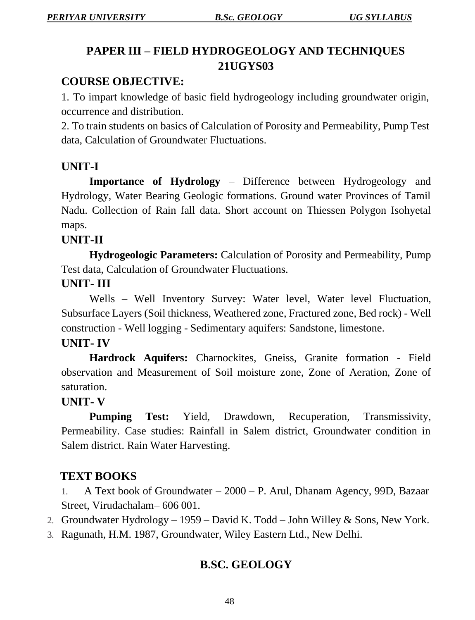# **PAPER III – FIELD HYDROGEOLOGY AND TECHNIQUES 21UGYS03**

# **COURSE OBJECTIVE:**

1. To impart knowledge of basic field hydrogeology including groundwater origin, occurrence and distribution.

2. To train students on basics of Calculation of Porosity and Permeability, Pump Test data, Calculation of Groundwater Fluctuations.

# **UNIT-I**

**Importance of Hydrology** – Difference between Hydrogeology and Hydrology, Water Bearing Geologic formations. Ground water Provinces of Tamil Nadu. Collection of Rain fall data. Short account on Thiessen Polygon Isohyetal maps.

## **UNIT-II**

**Hydrogeologic Parameters:** Calculation of Porosity and Permeability, Pump Test data, Calculation of Groundwater Fluctuations.

## **UNIT- III**

Wells – Well Inventory Survey: Water level, Water level Fluctuation, Subsurface Layers (Soil thickness, Weathered zone, Fractured zone, Bed rock) - Well construction - Well logging - Sedimentary aquifers: Sandstone, limestone.

#### **UNIT- IV**

**Hardrock Aquifers:** Charnockites, Gneiss, Granite formation - Field observation and Measurement of Soil moisture zone, Zone of Aeration, Zone of saturation.

#### **UNIT- V**

**Pumping Test:** Yield, Drawdown, Recuperation, Transmissivity, Permeability. Case studies: Rainfall in Salem district, Groundwater condition in Salem district. Rain Water Harvesting.

# **TEXT BOOKS**

1. A Text book of Groundwater – 2000 – P. Arul, Dhanam Agency, 99D, Bazaar Street, Virudachalam– 606 001.

- 2. Groundwater Hydrology 1959 David K. Todd John Willey & Sons, New York.
- 3. Ragunath, H.M. 1987, Groundwater, Wiley Eastern Ltd., New Delhi.

# **B.SC. GEOLOGY**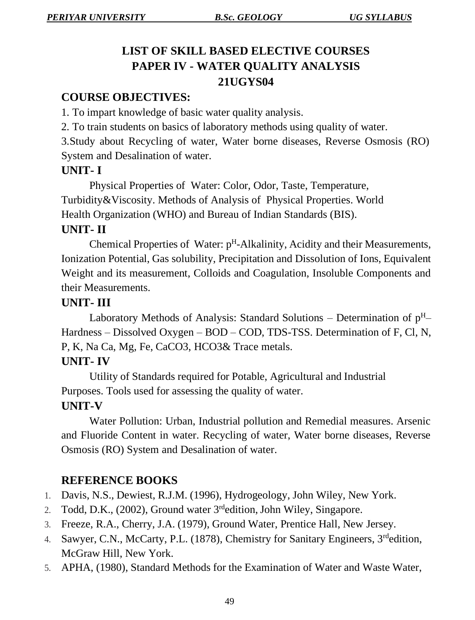# **LIST OF SKILL BASED ELECTIVE COURSES PAPER IV - WATER QUALITY ANALYSIS 21UGYS04**

# **COURSE OBJECTIVES:**

1. To impart knowledge of basic water quality analysis.

2. To train students on basics of laboratory methods using quality of water.

3.Study about Recycling of water, Water borne diseases, Reverse Osmosis (RO) System and Desalination of water.

#### **UNIT- I**

Physical Properties of Water: Color, Odor, Taste, Temperature, Turbidity&Viscosity. Methods of Analysis of Physical Properties. World Health Organization (WHO) and Bureau of Indian Standards (BIS).

## **UNIT- II**

Chemical Properties of Water: p<sup>H</sup>-Alkalinity, Acidity and their Measurements, Ionization Potential, Gas solubility, Precipitation and Dissolution of Ions, Equivalent Weight and its measurement, Colloids and Coagulation, Insoluble Components and their Measurements.

#### **UNIT- III**

Laboratory Methods of Analysis: Standard Solutions – Determination of  $p^H$ – Hardness – Dissolved Oxygen – BOD – COD, TDS-TSS. Determination of F, Cl, N, P, K, Na Ca, Mg, Fe, CaCO3, HCO3& Trace metals.

#### **UNIT- IV**

Utility of Standards required for Potable, Agricultural and Industrial Purposes. Tools used for assessing the quality of water.

#### **UNIT-V**

Water Pollution: Urban, Industrial pollution and Remedial measures. Arsenic and Fluoride Content in water. Recycling of water, Water borne diseases, Reverse Osmosis (RO) System and Desalination of water.

# **REFERENCE BOOKS**

- 1. Davis, N.S., Dewiest, R.J.M. (1996), Hydrogeology, John Wiley, New York.
- 2. Todd, D.K., (2002), Ground water 3<sup>rd</sup>edition, John Wiley, Singapore.
- 3. Freeze, R.A., Cherry, J.A. (1979), Ground Water, Prentice Hall, New Jersey.
- 4. Sawyer, C.N., McCarty, P.L. (1878), Chemistry for Sanitary Engineers, 3<sup>rd</sup>edition, McGraw Hill, New York.
- 5. APHA, (1980), Standard Methods for the Examination of Water and Waste Water,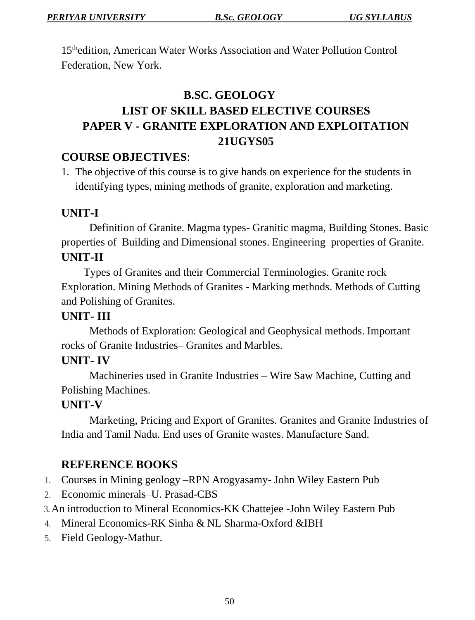15thedition, American Water Works Association and Water Pollution Control Federation, New York.

# **B.SC. GEOLOGY LIST OF SKILL BASED ELECTIVE COURSES PAPER V - GRANITE EXPLORATION AND EXPLOITATION 21UGYS05**

## **COURSE OBJECTIVES**:

1. The objective of this course is to give hands on experience for the students in identifying types, mining methods of granite, exploration and marketing.

## **UNIT-I**

Definition of Granite. Magma types- Granitic magma, Building Stones. Basic properties of Building and Dimensional stones. Engineering properties of Granite. **UNIT-II**

Types of Granites and their Commercial Terminologies. Granite rock Exploration. Mining Methods of Granites - Marking methods. Methods of Cutting and Polishing of Granites.

### **UNIT- III**

Methods of Exploration: Geological and Geophysical methods. Important rocks of Granite Industries– Granites and Marbles.

#### **UNIT- IV**

Machineries used in Granite Industries – Wire Saw Machine, Cutting and Polishing Machines.

# **UNIT-V**

Marketing, Pricing and Export of Granites. Granites and Granite Industries of India and Tamil Nadu. End uses of Granite wastes. Manufacture Sand.

# **REFERENCE BOOKS**

- 1. Courses in Mining geology –RPN Arogyasamy- John Wiley Eastern Pub
- 2. Economic minerals–U. Prasad-CBS
- 3.An introduction to Mineral Economics-KK Chattejee -John Wiley Eastern Pub
- 4. Mineral Economics-RK Sinha & NL Sharma-Oxford &IBH
- 5. Field Geology-Mathur.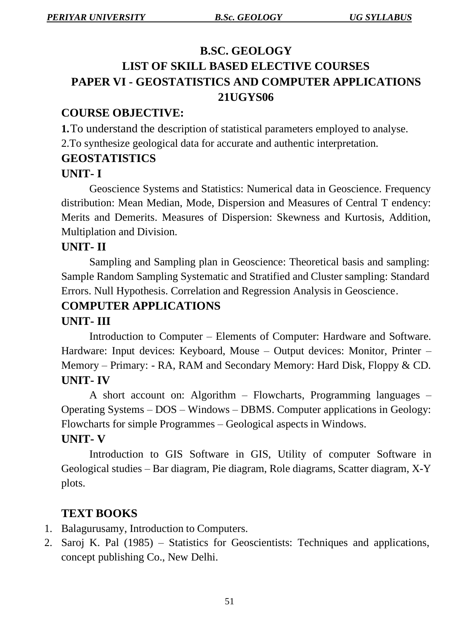# **B.SC. GEOLOGY LIST OF SKILL BASED ELECTIVE COURSES PAPER VI - GEOSTATISTICS AND COMPUTER APPLICATIONS 21UGYS06**

# **COURSE OBJECTIVE:**

**1.**To understand the description of statistical parameters employed to analyse. 2.To synthesize geological data for accurate and authentic interpretation.

# **GEOSTATISTICS**

## **UNIT- I**

Geoscience Systems and Statistics: Numerical data in Geoscience. Frequency distribution: Mean Median, Mode, Dispersion and Measures of Central T endency: Merits and Demerits. Measures of Dispersion: Skewness and Kurtosis, Addition, Multiplation and Division.

## **UNIT- II**

Sampling and Sampling plan in Geoscience: Theoretical basis and sampling: Sample Random Sampling Systematic and Stratified and Cluster sampling: Standard Errors. Null Hypothesis. Correlation and Regression Analysis in Geoscience.

# **COMPUTER APPLICATIONS**

# **UNIT- III**

Introduction to Computer – Elements of Computer: Hardware and Software. Hardware: Input devices: Keyboard, Mouse – Output devices: Monitor, Printer – Memory – Primary: - RA, RAM and Secondary Memory: Hard Disk, Floppy & CD. **UNIT- IV**

A short account on: Algorithm – Flowcharts, Programming languages – Operating Systems – DOS – Windows – DBMS. Computer applications in Geology: Flowcharts for simple Programmes – Geological aspects in Windows.

#### **UNIT- V**

Introduction to GIS Software in GIS, Utility of computer Software in Geological studies – Bar diagram, Pie diagram, Role diagrams, Scatter diagram, X-Y plots.

# **TEXT BOOKS**

- 1. Balagurusamy, Introduction to Computers.
- 2. Saroj K. Pal (1985) Statistics for Geoscientists: Techniques and applications, concept publishing Co., New Delhi.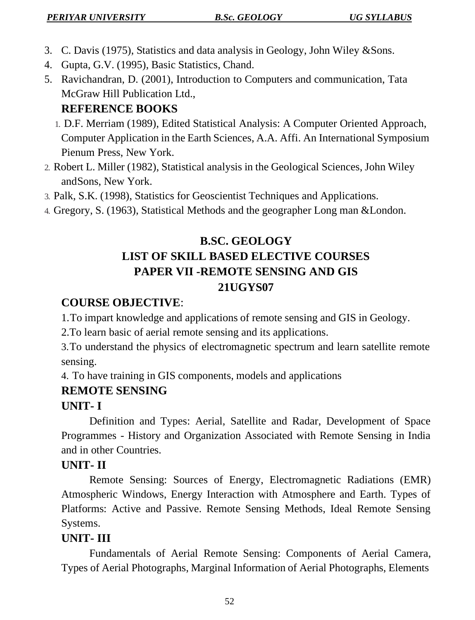- 3. C. Davis (1975), Statistics and data analysis in Geology, John Wiley &Sons.
- 4. Gupta, G.V. (1995), Basic Statistics, Chand.
- 5. Ravichandran, D. (2001), Introduction to Computers and communication, Tata McGraw Hill Publication Ltd.,

# **REFERENCE BOOKS**

- 1. D.F. Merriam (1989), Edited Statistical Analysis: A Computer Oriented Approach, Computer Application in the Earth Sciences, A.A. Affi. An International Symposium Pienum Press, New York.
- 2. Robert L. Miller (1982), Statistical analysis in the Geological Sciences, John Wiley andSons, New York.
- 3. Palk, S.K. (1998), Statistics for Geoscientist Techniques and Applications.
- 4. Gregory, S. (1963), Statistical Methods and the geographer Long man &London.

# **B.SC. GEOLOGY LIST OF SKILL BASED ELECTIVE COURSES PAPER VII -REMOTE SENSING AND GIS 21UGYS07**

# **COURSE OBJECTIVE**:

1.To impart knowledge and applications of remote sensing and GIS in Geology.

2.To learn basic of aerial remote sensing and its applications.

3.To understand the physics of electromagnetic spectrum and learn satellite remote sensing.

4. To have training in GIS components, models and applications

# **REMOTE SENSING**

# **UNIT- I**

Definition and Types: Aerial, Satellite and Radar, Development of Space Programmes - History and Organization Associated with Remote Sensing in India and in other Countries.

# **UNIT- II**

Remote Sensing: Sources of Energy, Electromagnetic Radiations (EMR) Atmospheric Windows, Energy Interaction with Atmosphere and Earth. Types of Platforms: Active and Passive. Remote Sensing Methods, Ideal Remote Sensing Systems.

# **UNIT- III**

Fundamentals of Aerial Remote Sensing: Components of Aerial Camera, Types of Aerial Photographs, Marginal Information of Aerial Photographs, Elements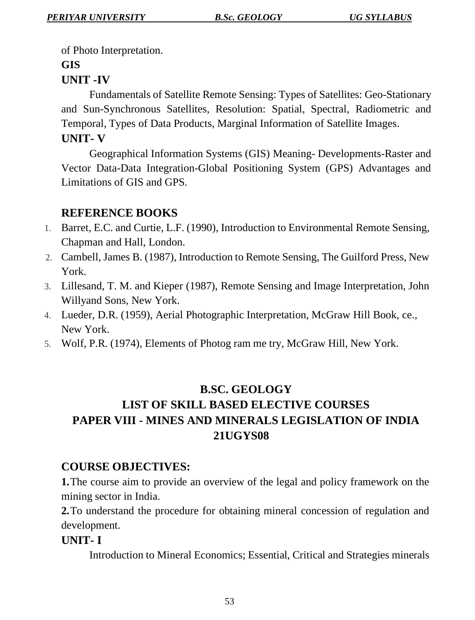of Photo Interpretation.

#### **GIS**

# **UNIT -IV**

Fundamentals of Satellite Remote Sensing: Types of Satellites: Geo-Stationary and Sun-Synchronous Satellites, Resolution: Spatial, Spectral, Radiometric and Temporal, Types of Data Products, Marginal Information of Satellite Images. **UNIT- V**

Geographical Information Systems (GIS) Meaning- Developments-Raster and Vector Data-Data Integration-Global Positioning System (GPS) Advantages and Limitations of GIS and GPS.

# **REFERENCE BOOKS**

- 1. Barret, E.C. and Curtie, L.F. (1990), Introduction to Environmental Remote Sensing, Chapman and Hall, London.
- 2. Cambell, James B. (1987), Introduction to Remote Sensing, The Guilford Press, New York.
- 3. Lillesand, T. M. and Kieper (1987), Remote Sensing and Image Interpretation, John Willyand Sons, New York.
- 4. Lueder, D.R. (1959), Aerial Photographic Interpretation, McGraw Hill Book, ce., New York.
- 5. Wolf, P.R. (1974), Elements of Photog ram me try, McGraw Hill, New York.

# **B.SC. GEOLOGY**

# **LIST OF SKILL BASED ELECTIVE COURSES PAPER VIII - MINES AND MINERALS LEGISLATION OF INDIA 21UGYS08**

# **COURSE OBJECTIVES:**

**1.**The course aim to provide an overview of the legal and policy framework on the mining sector in India.

**2.**To understand the procedure for obtaining mineral concession of regulation and development.

# **UNIT- I**

Introduction to Mineral Economics; Essential, Critical and Strategies minerals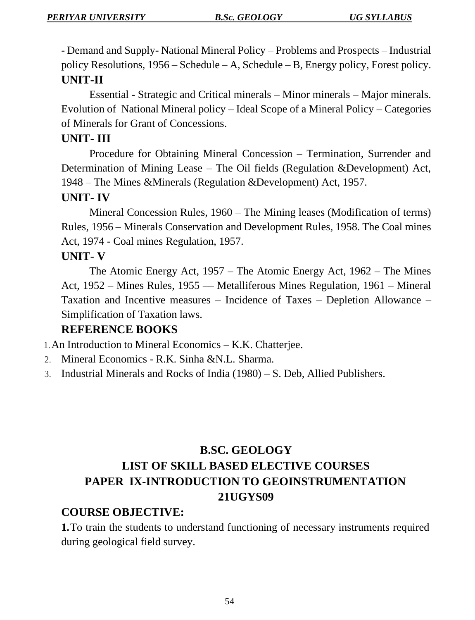- Demand and Supply- National Mineral Policy – Problems and Prospects – Industrial policy Resolutions, 1956 – Schedule – A, Schedule – B, Energy policy, Forest policy. **UNIT-II**

Essential - Strategic and Critical minerals – Minor minerals – Major minerals. Evolution of National Mineral policy – Ideal Scope of a Mineral Policy – Categories of Minerals for Grant of Concessions.

#### **UNIT- III**

Procedure for Obtaining Mineral Concession – Termination, Surrender and Determination of Mining Lease – The Oil fields (Regulation &Development) Act, 1948 – The Mines &Minerals (Regulation &Development) Act, 1957.

#### **UNIT- IV**

Mineral Concession Rules, 1960 – The Mining leases (Modification of terms) Rules, 1956 – Minerals Conservation and Development Rules, 1958. The Coal mines Act, 1974 - Coal mines Regulation, 1957.

### **UNIT- V**

The Atomic Energy Act, 1957 – The Atomic Energy Act, 1962 – The Mines Act, 1952 – Mines Rules, 1955 –– Metalliferous Mines Regulation, 1961 – Mineral Taxation and Incentive measures – Incidence of Taxes – Depletion Allowance – Simplification of Taxation laws.

#### **REFERENCE BOOKS**

1.An Introduction to Mineral Economics – K.K. Chatterjee.

- 2. Mineral Economics R.K. Sinha &N.L. Sharma.
- 3. Industrial Minerals and Rocks of India (1980) S. Deb, Allied Publishers.

# **B.SC. GEOLOGY LIST OF SKILL BASED ELECTIVE COURSES PAPER IX-INTRODUCTION TO GEOINSTRUMENTATION 21UGYS09**

#### **COURSE OBJECTIVE:**

**1.**To train the students to understand functioning of necessary instruments required during geological field survey.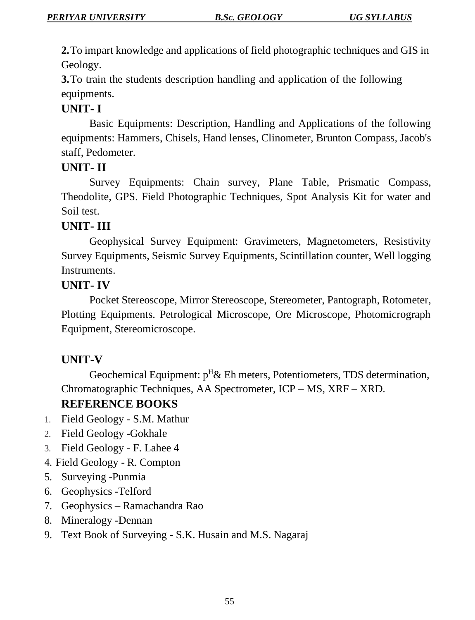**2.**To impart knowledge and applications of field photographic techniques and GIS in Geology.

**3.**To train the students description handling and application of the following equipments.

## **UNIT- I**

Basic Equipments: Description, Handling and Applications of the following equipments: Hammers, Chisels, Hand lenses, Clinometer, Brunton Compass, Jacob's staff, Pedometer.

#### **UNIT- II**

Survey Equipments: Chain survey, Plane Table, Prismatic Compass, Theodolite, GPS. Field Photographic Techniques, Spot Analysis Kit for water and Soil test.

#### **UNIT- III**

Geophysical Survey Equipment: Gravimeters, Magnetometers, Resistivity Survey Equipments, Seismic Survey Equipments, Scintillation counter, Well logging Instruments.

#### **UNIT- IV**

Pocket Stereoscope, Mirror Stereoscope, Stereometer, Pantograph, Rotometer, Plotting Equipments. Petrological Microscope, Ore Microscope, Photomicrograph Equipment, Stereomicroscope.

#### **UNIT-V**

Geochemical Equipment:  $p^H \&$  Eh meters, Potentiometers, TDS determination, Chromatographic Techniques, AA Spectrometer, ICP – MS, XRF – XRD.

# **REFERENCE BOOKS**

- 1. Field Geology S.M. Mathur
- 2. Field Geology -Gokhale
- 3. Field Geology F. Lahee 4
- 4. Field Geology R. Compton
- 5. Surveying -Punmia
- 6. Geophysics -Telford
- 7. Geophysics Ramachandra Rao
- 8. Mineralogy -Dennan
- 9. Text Book of Surveying S.K. Husain and M.S. Nagaraj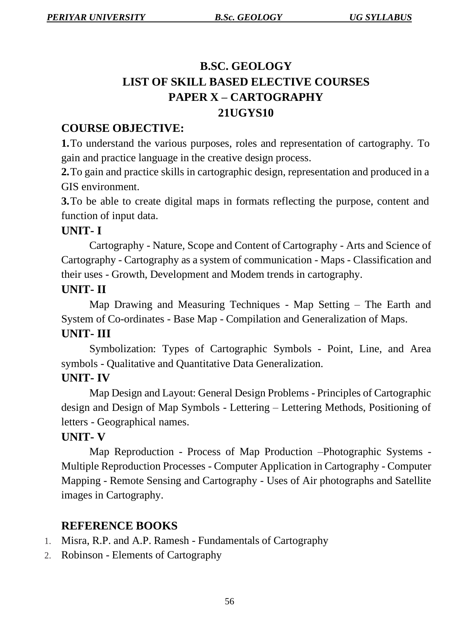# **B.SC. GEOLOGY LIST OF SKILL BASED ELECTIVE COURSES PAPER X – CARTOGRAPHY 21UGYS10**

## **COURSE OBJECTIVE:**

**1.**To understand the various purposes, roles and representation of cartography. To gain and practice language in the creative design process.

**2.**To gain and practice skills in cartographic design, representation and produced in a GIS environment.

**3.**To be able to create digital maps in formats reflecting the purpose, content and function of input data.

#### **UNIT- I**

Cartography - Nature, Scope and Content of Cartography - Arts and Science of Cartography - Cartography as a system of communication - Maps - Classification and their uses - Growth, Development and Modem trends in cartography.

#### **UNIT- II**

Map Drawing and Measuring Techniques - Map Setting – The Earth and System of Co-ordinates - Base Map - Compilation and Generalization of Maps.

### **UNIT- III**

Symbolization: Types of Cartographic Symbols - Point, Line, and Area symbols - Qualitative and Quantitative Data Generalization.

#### **UNIT- IV**

Map Design and Layout: General Design Problems - Principles of Cartographic design and Design of Map Symbols - Lettering – Lettering Methods, Positioning of letters - Geographical names.

# **UNIT- V**

Map Reproduction - Process of Map Production –Photographic Systems - Multiple Reproduction Processes - Computer Application in Cartography - Computer Mapping - Remote Sensing and Cartography - Uses of Air photographs and Satellite images in Cartography.

# **REFERENCE BOOKS**

- 1. Misra, R.P. and A.P. Ramesh Fundamentals of Cartography
- 2. Robinson Elements of Cartography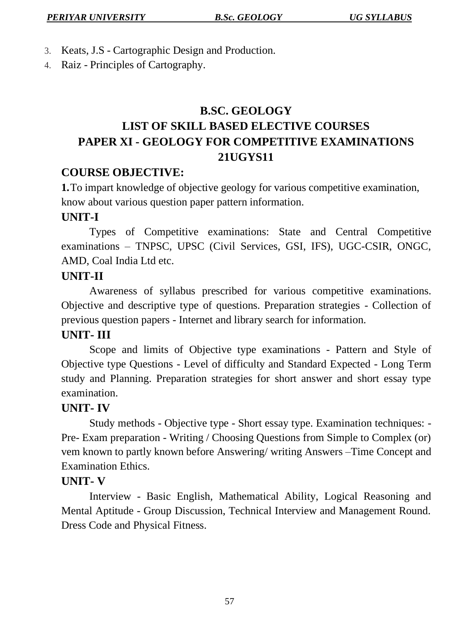- 3. Keats, J.S Cartographic Design and Production.
- 4. Raiz Principles of Cartography.

# **B.SC. GEOLOGY LIST OF SKILL BASED ELECTIVE COURSES PAPER XI - GEOLOGY FOR COMPETITIVE EXAMINATIONS 21UGYS11**

## **COURSE OBJECTIVE:**

**1.**To impart knowledge of objective geology for various competitive examination, know about various question paper pattern information.

## **UNIT-I**

Types of Competitive examinations: State and Central Competitive examinations – TNPSC, UPSC (Civil Services, GSI, IFS), UGC-CSIR, ONGC, AMD, Coal India Ltd etc.

## **UNIT-II**

Awareness of syllabus prescribed for various competitive examinations. Objective and descriptive type of questions. Preparation strategies - Collection of previous question papers - Internet and library search for information.

#### **UNIT- III**

Scope and limits of Objective type examinations - Pattern and Style of Objective type Questions - Level of difficulty and Standard Expected - Long Term study and Planning. Preparation strategies for short answer and short essay type examination.

#### **UNIT- IV**

Study methods - Objective type - Short essay type. Examination techniques: - Pre- Exam preparation - Writing / Choosing Questions from Simple to Complex (or) vem known to partly known before Answering/ writing Answers –Time Concept and Examination Ethics.

#### **UNIT- V**

Interview - Basic English, Mathematical Ability, Logical Reasoning and Mental Aptitude - Group Discussion, Technical Interview and Management Round. Dress Code and Physical Fitness.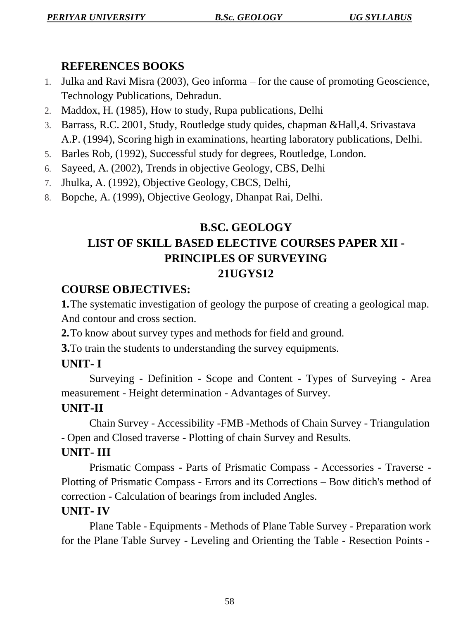# **REFERENCES BOOKS**

- 1. Julka and Ravi Misra (2003), Geo informa for the cause of promoting Geoscience, Technology Publications, Dehradun.
- 2. Maddox, H. (1985), How to study, Rupa publications, Delhi
- 3. Barrass, R.C. 2001, Study, Routledge study quides, chapman &Hall,4. Srivastava A.P. (1994), Scoring high in examinations, hearting laboratory publications, Delhi.
- 5. Barles Rob, (1992), Successful study for degrees, Routledge, London.
- 6. Sayeed, A. (2002), Trends in objective Geology, CBS, Delhi
- 7. Jhulka, A. (1992), Objective Geology, CBCS, Delhi,
- 8. Bopche, A. (1999), Objective Geology, Dhanpat Rai, Delhi.

# **B.SC. GEOLOGY LIST OF SKILL BASED ELECTIVE COURSES PAPER XII - PRINCIPLES OF SURVEYING 21UGYS12**

# **COURSE OBJECTIVES:**

**1.**The systematic investigation of geology the purpose of creating a geological map. And contour and cross section.

**2.**To know about survey types and methods for field and ground.

**3.**To train the students to understanding the survey equipments.

# **UNIT- I**

Surveying - Definition - Scope and Content - Types of Surveying - Area measurement - Height determination - Advantages of Survey.

# **UNIT-II**

Chain Survey - Accessibility -FMB -Methods of Chain Survey - Triangulation - Open and Closed traverse - Plotting of chain Survey and Results.

# **UNIT- III**

Prismatic Compass - Parts of Prismatic Compass - Accessories - Traverse - Plotting of Prismatic Compass - Errors and its Corrections – Bow ditich's method of correction - Calculation of bearings from included Angles.

# **UNIT- IV**

Plane Table - Equipments - Methods of Plane Table Survey - Preparation work for the Plane Table Survey - Leveling and Orienting the Table - Resection Points -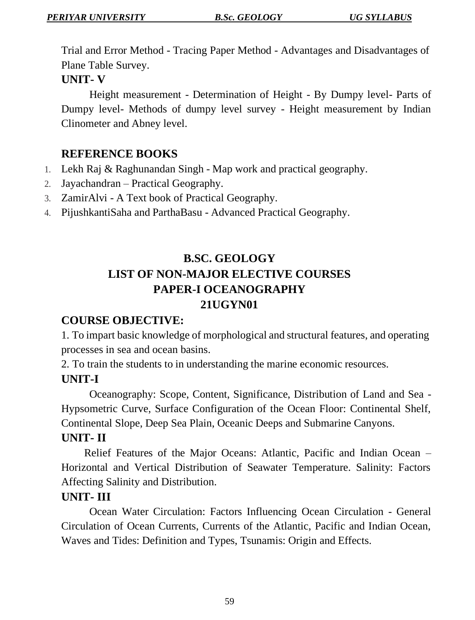Trial and Error Method - Tracing Paper Method - Advantages and Disadvantages of Plane Table Survey.

#### **UNIT- V**

Height measurement - Determination of Height - By Dumpy level- Parts of Dumpy level- Methods of dumpy level survey - Height measurement by Indian Clinometer and Abney level.

### **REFERENCE BOOKS**

- 1. Lekh Raj & Raghunandan Singh Map work and practical geography.
- 2. Jayachandran Practical Geography.
- 3. ZamirAlvi A Text book of Practical Geography.
- 4. PijushkantiSaha and ParthaBasu Advanced Practical Geography.

# **B.SC. GEOLOGY LIST OF NON-MAJOR ELECTIVE COURSES PAPER-I OCEANOGRAPHY 21UGYN01**

#### **COURSE OBJECTIVE:**

1. To impart basic knowledge of morphological and structural features, and operating processes in sea and ocean basins.

2. To train the students to in understanding the marine economic resources.

# **UNIT-I**

Oceanography: Scope, Content, Significance, Distribution of Land and Sea - Hypsometric Curve, Surface Configuration of the Ocean Floor: Continental Shelf, Continental Slope, Deep Sea Plain, Oceanic Deeps and Submarine Canyons.

#### **UNIT- II**

Relief Features of the Major Oceans: Atlantic, Pacific and Indian Ocean – Horizontal and Vertical Distribution of Seawater Temperature. Salinity: Factors Affecting Salinity and Distribution.

#### **UNIT- III**

Ocean Water Circulation: Factors Influencing Ocean Circulation - General Circulation of Ocean Currents, Currents of the Atlantic, Pacific and Indian Ocean, Waves and Tides: Definition and Types, Tsunamis: Origin and Effects.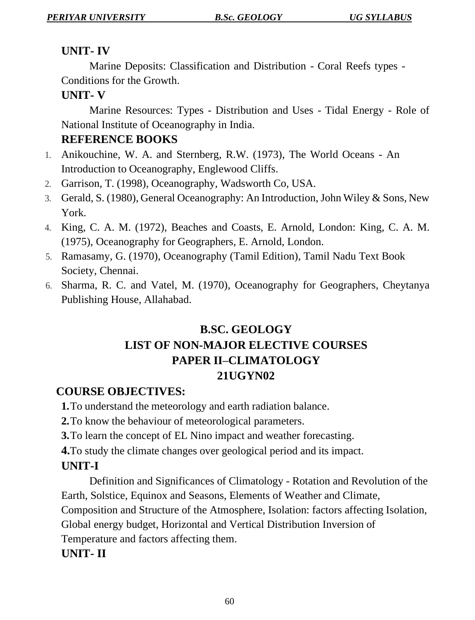# **UNIT- IV**

Marine Deposits: Classification and Distribution - Coral Reefs types - Conditions for the Growth.

# **UNIT- V**

Marine Resources: Types - Distribution and Uses - Tidal Energy - Role of National Institute of Oceanography in India.

# **REFERENCE BOOKS**

- 1. Anikouchine, W. A. and Sternberg, R.W. (1973), The World Oceans An Introduction to Oceanography, Englewood Cliffs.
- 2. Garrison, T. (1998), Oceanography, Wadsworth Co, USA.
- 3. Gerald, S. (1980), General Oceanography: An Introduction, John Wiley & Sons, New York.
- 4. King, C. A. M. (1972), Beaches and Coasts, E. Arnold, London: King, C. A. M. (1975), Oceanography for Geographers, E. Arnold, London.
- 5. Ramasamy, G. (1970), Oceanography (Tamil Edition), Tamil Nadu Text Book Society, Chennai.
- 6. Sharma, R. C. and Vatel, M. (1970), Oceanography for Geographers, Cheytanya Publishing House, Allahabad.

# **B.SC. GEOLOGY LIST OF NON-MAJOR ELECTIVE COURSES PAPER II–CLIMATOLOGY 21UGYN02**

# **COURSE OBJECTIVES:**

**1.**To understand the meteorology and earth radiation balance.

**2.**To know the behaviour of meteorological parameters.

**3.**To learn the concept of EL Nino impact and weather forecasting.

**4.**To study the climate changes over geological period and its impact.

# **UNIT-I**

Definition and Significances of Climatology - Rotation and Revolution of the Earth, Solstice, Equinox and Seasons, Elements of Weather and Climate,

Composition and Structure of the Atmosphere, Isolation: factors affecting Isolation,

Global energy budget, Horizontal and Vertical Distribution Inversion of

Temperature and factors affecting them.

# **UNIT- II**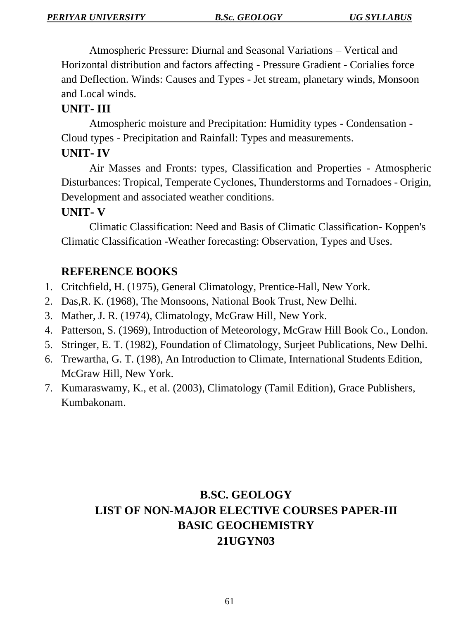Atmospheric Pressure: Diurnal and Seasonal Variations – Vertical and Horizontal distribution and factors affecting - Pressure Gradient - Corialies force and Deflection. Winds: Causes and Types - Jet stream, planetary winds, Monsoon and Local winds.

### **UNIT- III**

Atmospheric moisture and Precipitation: Humidity types - Condensation - Cloud types - Precipitation and Rainfall: Types and measurements.

### **UNIT- IV**

Air Masses and Fronts: types, Classification and Properties - Atmospheric Disturbances: Tropical, Temperate Cyclones, Thunderstorms and Tornadoes - Origin, Development and associated weather conditions.

## **UNIT- V**

Climatic Classification: Need and Basis of Climatic Classification- Koppen's Climatic Classification -Weather forecasting: Observation, Types and Uses.

# **REFERENCE BOOKS**

- 1. Critchfield, H. (1975), General Climatology, Prentice-Hall, New York.
- 2. Das,R. K. (1968), The Monsoons, National Book Trust, New Delhi.
- 3. Mather, J. R. (1974), Climatology, McGraw Hill, New York.
- 4. Patterson, S. (1969), Introduction of Meteorology, McGraw Hill Book Co., London.
- 5. Stringer, E. T. (1982), Foundation of Climatology, Surjeet Publications, New Delhi.
- 6. Trewartha, G. T. (198), An Introduction to Climate, International Students Edition, McGraw Hill, New York.
- 7. Kumaraswamy, K., et al. (2003), Climatology (Tamil Edition), Grace Publishers, Kumbakonam.

# **B.SC. GEOLOGY LIST OF NON-MAJOR ELECTIVE COURSES PAPER-III BASIC GEOCHEMISTRY 21UGYN03**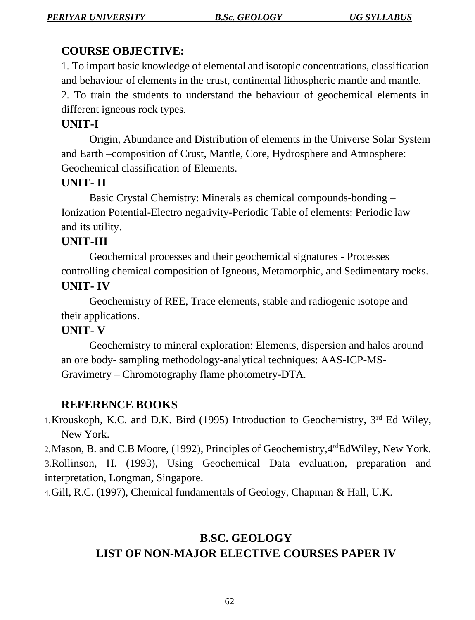# **COURSE OBJECTIVE:**

1. To impart basic knowledge of elemental and isotopic concentrations, classification and behaviour of elements in the crust, continental lithospheric mantle and mantle.

2. To train the students to understand the behaviour of geochemical elements in different igneous rock types.

# **UNIT-I**

Origin, Abundance and Distribution of elements in the Universe Solar System and Earth –composition of Crust, Mantle, Core, Hydrosphere and Atmosphere: Geochemical classification of Elements.

# **UNIT- II**

Basic Crystal Chemistry: Minerals as chemical compounds-bonding – Ionization Potential-Electro negativity-Periodic Table of elements: Periodic law and its utility.

# **UNIT-III**

Geochemical processes and their geochemical signatures - Processes controlling chemical composition of Igneous, Metamorphic, and Sedimentary rocks. **UNIT- IV**

Geochemistry of REE, Trace elements, stable and radiogenic isotope and their applications.

# **UNIT- V**

Geochemistry to mineral exploration: Elements, dispersion and halos around an ore body- sampling methodology-analytical techniques: AAS-ICP-MS-Gravimetry – Chromotography flame photometry-DTA.

# **REFERENCE BOOKS**

1.Krouskoph, K.C. and D.K. Bird (1995) Introduction to Geochemistry, 3rd Ed Wiley, New York.

2.Mason, B. and C.B Moore, (1992), Principles of Geochemistry,4rdEdWiley, New York.

3.Rollinson, H. (1993), Using Geochemical Data evaluation, preparation and interpretation, Longman, Singapore.

4.Gill, R.C. (1997), Chemical fundamentals of Geology, Chapman & Hall, U.K.

# **B.SC. GEOLOGY LIST OF NON-MAJOR ELECTIVE COURSES PAPER IV**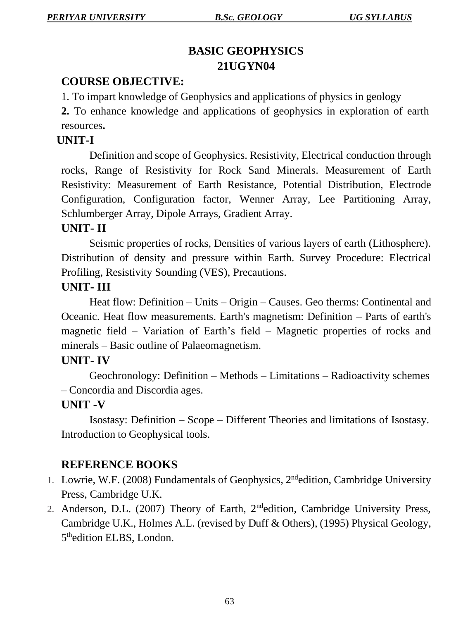# **BASIC GEOPHYSICS 21UGYN04**

# **COURSE OBJECTIVE:**

1. To impart knowledge of Geophysics and applications of physics in geology

**2.** To enhance knowledge and applications of geophysics in exploration of earth resources**.**

## **UNIT-I**

Definition and scope of Geophysics. Resistivity, Electrical conduction through rocks, Range of Resistivity for Rock Sand Minerals. Measurement of Earth Resistivity: Measurement of Earth Resistance, Potential Distribution, Electrode Configuration, Configuration factor, Wenner Array, Lee Partitioning Array, Schlumberger Array, Dipole Arrays, Gradient Array.

# **UNIT- II**

Seismic properties of rocks, Densities of various layers of earth (Lithosphere). Distribution of density and pressure within Earth. Survey Procedure: Electrical Profiling, Resistivity Sounding (VES), Precautions.

#### **UNIT- III**

Heat flow: Definition – Units – Origin – Causes. Geo therms: Continental and Oceanic. Heat flow measurements. Earth's magnetism: Definition – Parts of earth's magnetic field – Variation of Earth's field – Magnetic properties of rocks and minerals – Basic outline of Palaeomagnetism.

#### **UNIT- IV**

Geochronology: Definition – Methods – Limitations – Radioactivity schemes – Concordia and Discordia ages.

# **UNIT -V**

Isostasy: Definition – Scope – Different Theories and limitations of Isostasy. Introduction to Geophysical tools.

#### **REFERENCE BOOKS**

- 1. Lowrie, W.F. (2008) Fundamentals of Geophysics, 2<sup>nd</sup>edition, Cambridge University Press, Cambridge U.K.
- 2. Anderson, D.L. (2007) Theory of Earth, 2ndedition, Cambridge University Press, Cambridge U.K., Holmes A.L. (revised by Duff & Others), (1995) Physical Geology, 5<sup>th</sup>edition ELBS, London.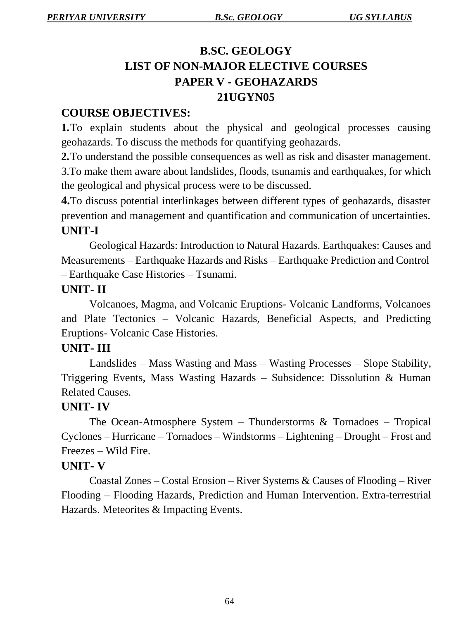# **B.SC. GEOLOGY LIST OF NON-MAJOR ELECTIVE COURSES PAPER V - GEOHAZARDS 21UGYN05**

# **COURSE OBJECTIVES:**

**1.**To explain students about the physical and geological processes causing geohazards. To discuss the methods for quantifying geohazards.

**2.**To understand the possible consequences as well as risk and disaster management. 3.To make them aware about landslides, floods, tsunamis and earthquakes, for which the geological and physical process were to be discussed.

**4.**To discuss potential interlinkages between different types of geohazards, disaster prevention and management and quantification and communication of uncertainties. **UNIT-I**

Geological Hazards: Introduction to Natural Hazards. Earthquakes: Causes and Measurements – Earthquake Hazards and Risks – Earthquake Prediction and Control – Earthquake Case Histories – Tsunami.

#### **UNIT- II**

Volcanoes, Magma, and Volcanic Eruptions- Volcanic Landforms, Volcanoes and Plate Tectonics – Volcanic Hazards, Beneficial Aspects, and Predicting Eruptions- Volcanic Case Histories.

#### **UNIT- III**

Landslides – Mass Wasting and Mass – Wasting Processes – Slope Stability, Triggering Events, Mass Wasting Hazards – Subsidence: Dissolution & Human Related Causes.

#### **UNIT- IV**

The Ocean-Atmosphere System – Thunderstorms  $&$  Tornadoes – Tropical Cyclones – Hurricane – Tornadoes – Windstorms – Lightening – Drought – Frost and Freezes – Wild Fire.

#### **UNIT- V**

Coastal Zones – Costal Erosion – River Systems & Causes of Flooding – River Flooding – Flooding Hazards, Prediction and Human Intervention. Extra-terrestrial Hazards. Meteorites & Impacting Events.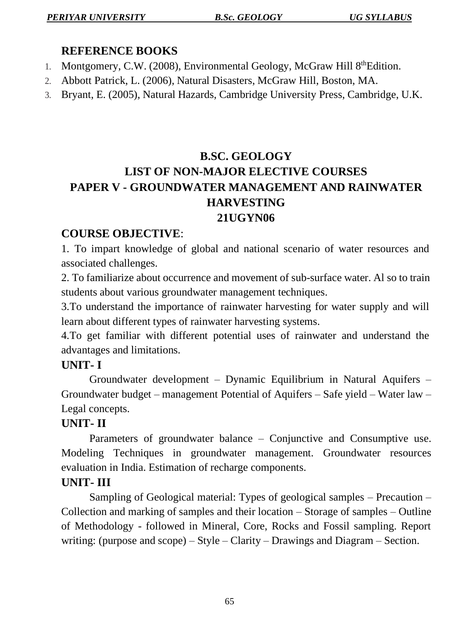## **REFERENCE BOOKS**

- 1. Montgomery, C.W. (2008), Environmental Geology, McGraw Hill 8th Edition.
- 2. Abbott Patrick, L. (2006), Natural Disasters, McGraw Hill, Boston, MA.
- 3. Bryant, E. (2005), Natural Hazards, Cambridge University Press, Cambridge, U.K.

# **B.SC. GEOLOGY LIST OF NON-MAJOR ELECTIVE COURSES PAPER V - GROUNDWATER MANAGEMENT AND RAINWATER HARVESTING 21UGYN06**

# **COURSE OBJECTIVE**:

1. To impart knowledge of global and national scenario of water resources and associated challenges.

2. To familiarize about occurrence and movement of sub-surface water. Al so to train students about various groundwater management techniques.

3.To understand the importance of rainwater harvesting for water supply and will learn about different types of rainwater harvesting systems.

4.To get familiar with different potential uses of rainwater and understand the advantages and limitations.

# **UNIT- I**

Groundwater development – Dynamic Equilibrium in Natural Aquifers – Groundwater budget – management Potential of Aquifers – Safe yield – Water law – Legal concepts.

# **UNIT- II**

Parameters of groundwater balance – Conjunctive and Consumptive use. Modeling Techniques in groundwater management. Groundwater resources evaluation in India. Estimation of recharge components.

# **UNIT- III**

Sampling of Geological material: Types of geological samples – Precaution – Collection and marking of samples and their location – Storage of samples – Outline of Methodology - followed in Mineral, Core, Rocks and Fossil sampling. Report writing: (purpose and scope) – Style – Clarity – Drawings and Diagram – Section.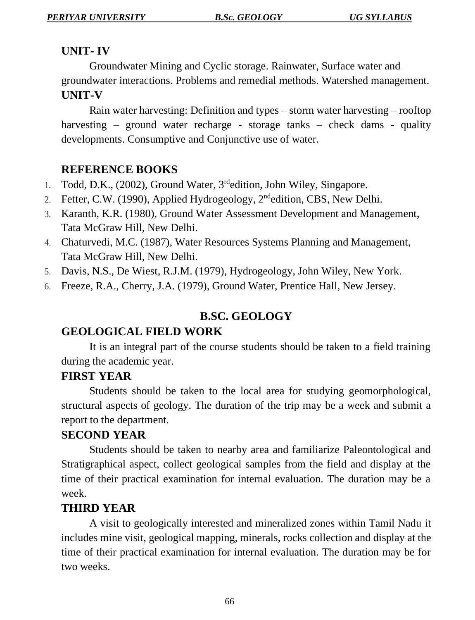# **UNIT- IV**

Groundwater Mining and Cyclic storage. Rainwater, Surface water and groundwater interactions. Problems and remedial methods. Watershed management. **UNIT-V**

Rain water harvesting: Definition and types – storm water harvesting – rooftop harvesting – ground water recharge - storage tanks – check dams - quality developments. Consumptive and Conjunctive use of water.

# **REFERENCE BOOKS**

- 1. Todd, D.K., (2002), Ground Water, 3<sup>rd</sup>edition, John Wiley, Singapore.
- 2. Fetter, C.W. (1990), Applied Hydrogeology, 2<sup>nd</sup>edition, CBS, New Delhi.
- 3. Karanth, K.R. (1980), Ground Water Assessment Development and Management, Tata McGraw Hill, New Delhi.
- 4. Chaturvedi, M.C. (1987), Water Resources Systems Planning and Management, Tata McGraw Hill, New Delhi.
- 5. Davis, N.S., De Wiest, R.J.M. (1979), Hydrogeology, John Wiley, New York.
- 6. Freeze, R.A., Cherry, J.A. (1979), Ground Water, Prentice Hall, New Jersey.

# **B.SC. GEOLOGY**

# **GEOLOGICAL FIELD WORK**

It is an integral part of the course students should be taken to a field training during the academic year.

#### **FIRST YEAR**

Students should be taken to the local area for studying geomorphological, structural aspects of geology. The duration of the trip may be a week and submit a report to the department.

# **SECOND YEAR**

Students should be taken to nearby area and familiarize Paleontological and Stratigraphical aspect, collect geological samples from the field and display at the time of their practical examination for internal evaluation. The duration may be a week.

# **THIRD YEAR**

A visit to geologically interested and mineralized zones within Tamil Nadu it includes mine visit, geological mapping, minerals, rocks collection and display at the time of their practical examination for internal evaluation. The duration may be for two weeks.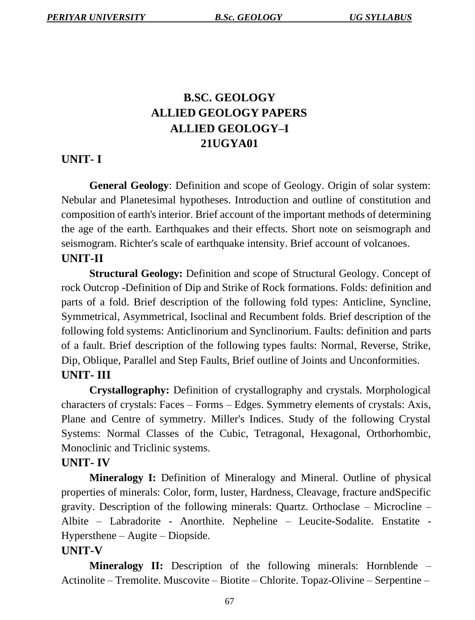# **B.SC. GEOLOGY ALLIED GEOLOGY PAPERS ALLIED GEOLOGY–I 21UGYA01**

# **UNIT- I**

**General Geology**: Definition and scope of Geology. Origin of solar system: Nebular and Planetesimal hypotheses. Introduction and outline of constitution and composition of earth's interior. Brief account of the important methods of determining the age of the earth. Earthquakes and their effects. Short note on seismograph and seismogram. Richter's scale of earthquake intensity. Brief account of volcanoes. **UNIT-II**

**Structural Geology:** Definition and scope of Structural Geology. Concept of rock Outcrop -Definition of Dip and Strike of Rock formations. Folds: definition and parts of a fold. Brief description of the following fold types: Anticline, Syncline, Symmetrical, Asymmetrical, Isoclinal and Recumbent folds. Brief description of the following fold systems: Anticlinorium and Synclinorium. Faults: definition and parts of a fault. Brief description of the following types faults: Normal, Reverse, Strike, Dip, Oblique, Parallel and Step Faults, Brief outline of Joints and Unconformities. **UNIT- III**

**Crystallography:** Definition of crystallography and crystals. Morphological characters of crystals: Faces – Forms – Edges. Symmetry elements of crystals: Axis, Plane and Centre of symmetry. Miller's Indices. Study of the following Crystal Systems: Normal Classes of the Cubic, Tetragonal, Hexagonal, Orthorhombic, Monoclinic and Triclinic systems.

#### **UNIT- IV**

**Mineralogy I:** Definition of Mineralogy and Mineral. Outline of physical properties of minerals: Color, form, luster, Hardness, Cleavage, fracture andSpecific gravity. Description of the following minerals: Quartz. Orthoclase – Microcline – Albite – Labradorite - Anorthite. Nepheline – Leucite-Sodalite. Enstatite - Hypersthene – Augite – Diopside.

#### **UNIT-V**

**Mineralogy II:** Description of the following minerals: Hornblende – Actinolite – Tremolite. Muscovite – Biotite – Chlorite. Topaz-Olivine – Serpentine –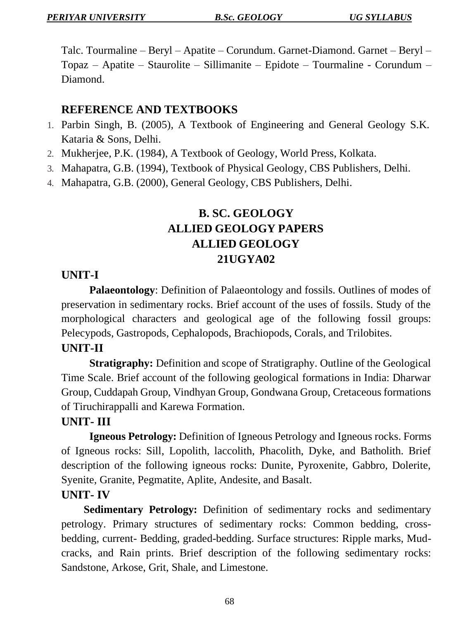Talc. Tourmaline – Beryl – Apatite – Corundum. Garnet-Diamond. Garnet – Beryl – Topaz – Apatite – Staurolite – Sillimanite – Epidote – Tourmaline - Corundum – Diamond.

#### **REFERENCE AND TEXTBOOKS**

- 1. Parbin Singh, B. (2005), A Textbook of Engineering and General Geology S.K. Kataria & Sons, Delhi.
- 2. Mukherjee, P.K. (1984), A Textbook of Geology, World Press, Kolkata.
- 3. Mahapatra, G.B. (1994), Textbook of Physical Geology, CBS Publishers, Delhi.
- 4. Mahapatra, G.B. (2000), General Geology, CBS Publishers, Delhi.

# **B. SC. GEOLOGY ALLIED GEOLOGY PAPERS ALLIED GEOLOGY 21UGYA02**

#### **UNIT-I**

**Palaeontology**: Definition of Palaeontology and fossils. Outlines of modes of preservation in sedimentary rocks. Brief account of the uses of fossils. Study of the morphological characters and geological age of the following fossil groups: Pelecypods, Gastropods, Cephalopods, Brachiopods, Corals, and Trilobites.

#### **UNIT-II**

**Stratigraphy:** Definition and scope of Stratigraphy. Outline of the Geological Time Scale. Brief account of the following geological formations in India: Dharwar Group, Cuddapah Group, Vindhyan Group, Gondwana Group, Cretaceous formations of Tiruchirappalli and Karewa Formation.

#### **UNIT- III**

**Igneous Petrology:** Definition of Igneous Petrology and Igneous rocks. Forms of Igneous rocks: Sill, Lopolith, laccolith, Phacolith, Dyke, and Batholith. Brief description of the following igneous rocks: Dunite, Pyroxenite, Gabbro, Dolerite, Syenite, Granite, Pegmatite, Aplite, Andesite, and Basalt.

#### **UNIT- IV**

**Sedimentary Petrology:** Definition of sedimentary rocks and sedimentary petrology. Primary structures of sedimentary rocks: Common bedding, crossbedding, current- Bedding, graded-bedding. Surface structures: Ripple marks, Mudcracks, and Rain prints. Brief description of the following sedimentary rocks: Sandstone, Arkose, Grit, Shale, and Limestone.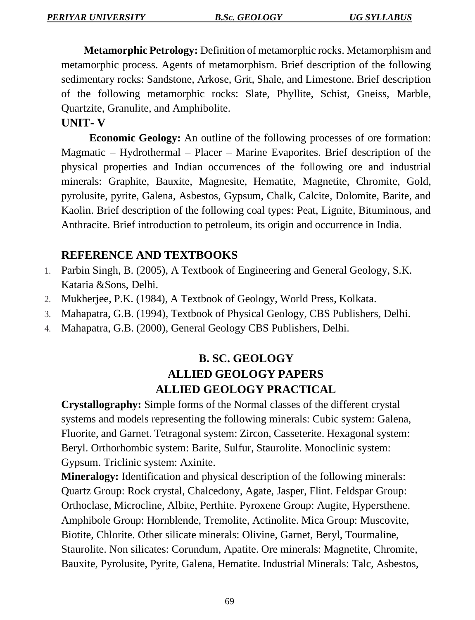**Metamorphic Petrology:** Definition of metamorphic rocks. Metamorphism and metamorphic process. Agents of metamorphism. Brief description of the following sedimentary rocks: Sandstone, Arkose, Grit, Shale, and Limestone. Brief description of the following metamorphic rocks: Slate, Phyllite, Schist, Gneiss, Marble, Quartzite, Granulite, and Amphibolite.

**UNIT- V**

**Economic Geology:** An outline of the following processes of ore formation: Magmatic – Hydrothermal – Placer – Marine Evaporites. Brief description of the physical properties and Indian occurrences of the following ore and industrial minerals: Graphite, Bauxite, Magnesite, Hematite, Magnetite, Chromite, Gold, pyrolusite, pyrite, Galena, Asbestos, Gypsum, Chalk, Calcite, Dolomite, Barite, and Kaolin. Brief description of the following coal types: Peat, Lignite, Bituminous, and Anthracite. Brief introduction to petroleum, its origin and occurrence in India.

# **REFERENCE AND TEXTBOOKS**

- 1. Parbin Singh, B. (2005), A Textbook of Engineering and General Geology, S.K. Kataria &Sons, Delhi.
- 2. Mukherjee, P.K. (1984), A Textbook of Geology, World Press, Kolkata.
- 3. Mahapatra, G.B. (1994), Textbook of Physical Geology, CBS Publishers, Delhi.
- 4. Mahapatra, G.B. (2000), General Geology CBS Publishers, Delhi.

# **B. SC. GEOLOGY ALLIED GEOLOGY PAPERS ALLIED GEOLOGY PRACTICAL**

**Crystallography:** Simple forms of the Normal classes of the different crystal systems and models representing the following minerals: Cubic system: Galena, Fluorite, and Garnet. Tetragonal system: Zircon, Casseterite. Hexagonal system: Beryl. Orthorhombic system: Barite, Sulfur, Staurolite. Monoclinic system: Gypsum. Triclinic system: Axinite.

**Mineralogy:** Identification and physical description of the following minerals: Quartz Group: Rock crystal, Chalcedony, Agate, Jasper, Flint. Feldspar Group: Orthoclase, Microcline, Albite, Perthite. Pyroxene Group: Augite, Hypersthene. Amphibole Group: Hornblende, Tremolite, Actinolite. Mica Group: Muscovite, Biotite, Chlorite. Other silicate minerals: Olivine, Garnet, Beryl, Tourmaline, Staurolite. Non silicates: Corundum, Apatite. Ore minerals: Magnetite, Chromite, Bauxite, Pyrolusite, Pyrite, Galena, Hematite. Industrial Minerals: Talc, Asbestos,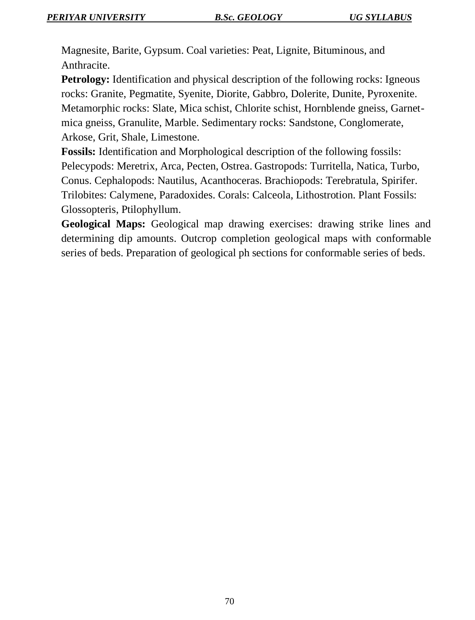Magnesite, Barite, Gypsum. Coal varieties: Peat, Lignite, Bituminous, and Anthracite.

**Petrology:** Identification and physical description of the following rocks: Igneous rocks: Granite, Pegmatite, Syenite, Diorite, Gabbro, Dolerite, Dunite, Pyroxenite. Metamorphic rocks: Slate, Mica schist, Chlorite schist, Hornblende gneiss, Garnetmica gneiss, Granulite, Marble. Sedimentary rocks: Sandstone, Conglomerate, Arkose, Grit, Shale, Limestone.

**Fossils:** Identification and Morphological description of the following fossils: Pelecypods: Meretrix, Arca, Pecten, Ostrea. Gastropods: Turritella, Natica, Turbo, Conus. Cephalopods: Nautilus, Acanthoceras. Brachiopods: Terebratula, Spirifer. Trilobites: Calymene, Paradoxides. Corals: Calceola, Lithostrotion. Plant Fossils: Glossopteris, Ptilophyllum.

**Geological Maps:** Geological map drawing exercises: drawing strike lines and determining dip amounts. Outcrop completion geological maps with conformable series of beds. Preparation of geological ph sections for conformable series of beds.